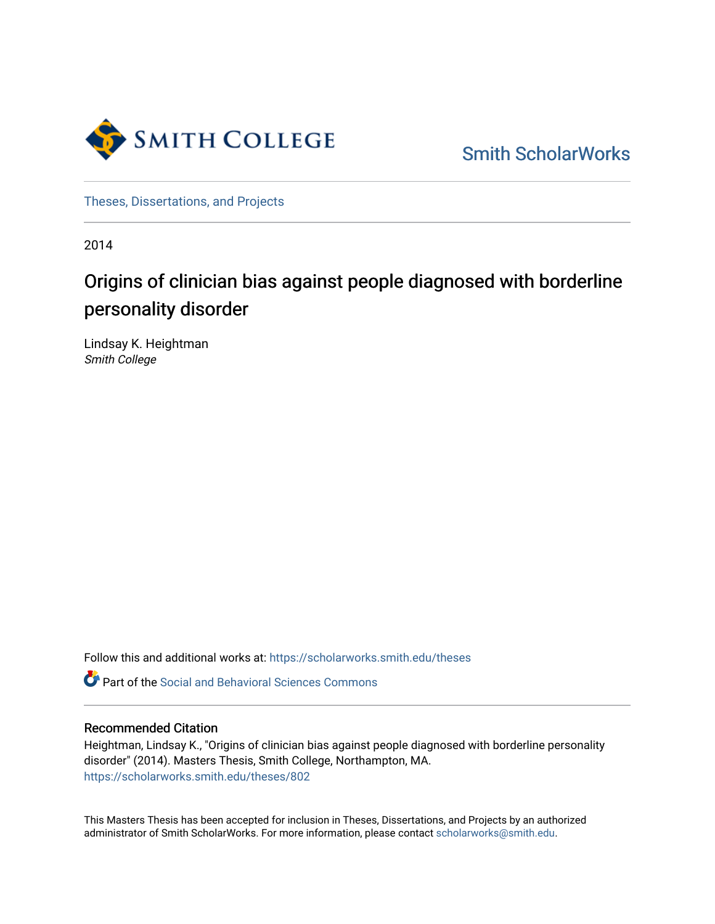

[Smith ScholarWorks](https://scholarworks.smith.edu/) 

[Theses, Dissertations, and Projects](https://scholarworks.smith.edu/theses) 

2014

# Origins of clinician bias against people diagnosed with borderline personality disorder

Lindsay K. Heightman Smith College

Follow this and additional works at: [https://scholarworks.smith.edu/theses](https://scholarworks.smith.edu/theses?utm_source=scholarworks.smith.edu%2Ftheses%2F802&utm_medium=PDF&utm_campaign=PDFCoverPages) 

**C** Part of the Social and Behavioral Sciences Commons

#### Recommended Citation

Heightman, Lindsay K., "Origins of clinician bias against people diagnosed with borderline personality disorder" (2014). Masters Thesis, Smith College, Northampton, MA. [https://scholarworks.smith.edu/theses/802](https://scholarworks.smith.edu/theses/802?utm_source=scholarworks.smith.edu%2Ftheses%2F802&utm_medium=PDF&utm_campaign=PDFCoverPages) 

This Masters Thesis has been accepted for inclusion in Theses, Dissertations, and Projects by an authorized administrator of Smith ScholarWorks. For more information, please contact [scholarworks@smith.edu](mailto:scholarworks@smith.edu).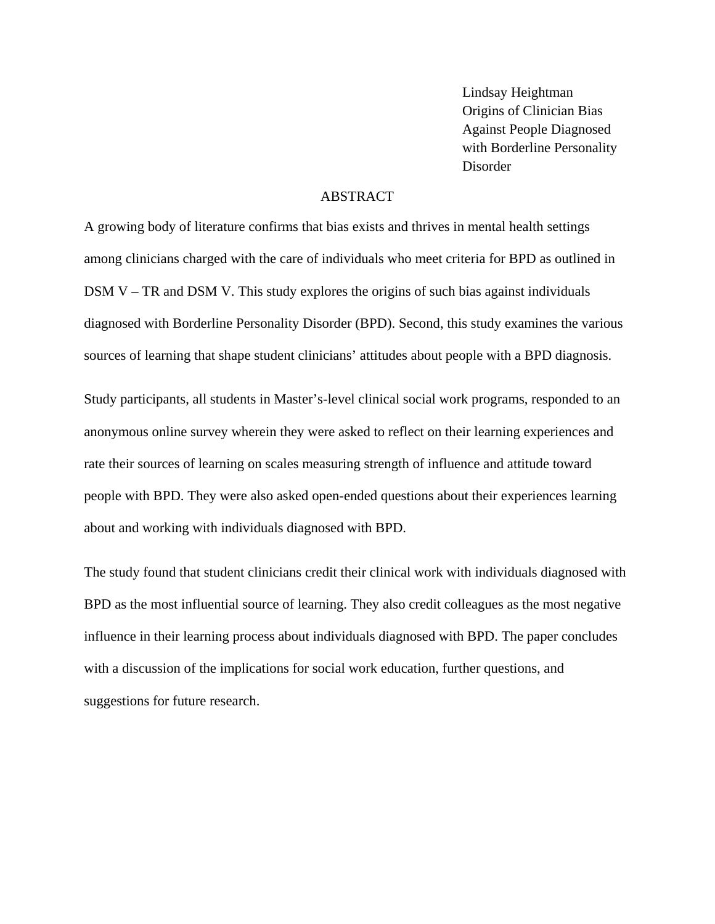Lindsay Heightman Origins of Clinician Bias Against People Diagnosed with Borderline Personality Disorder

# ABSTRACT

A growing body of literature confirms that bias exists and thrives in mental health settings among clinicians charged with the care of individuals who meet criteria for BPD as outlined in DSM V – TR and DSM V. This study explores the origins of such bias against individuals diagnosed with Borderline Personality Disorder (BPD). Second, this study examines the various sources of learning that shape student clinicians' attitudes about people with a BPD diagnosis.

Study participants, all students in Master's-level clinical social work programs, responded to an anonymous online survey wherein they were asked to reflect on their learning experiences and rate their sources of learning on scales measuring strength of influence and attitude toward people with BPD. They were also asked open-ended questions about their experiences learning about and working with individuals diagnosed with BPD.

The study found that student clinicians credit their clinical work with individuals diagnosed with BPD as the most influential source of learning. They also credit colleagues as the most negative influence in their learning process about individuals diagnosed with BPD. The paper concludes with a discussion of the implications for social work education, further questions, and suggestions for future research.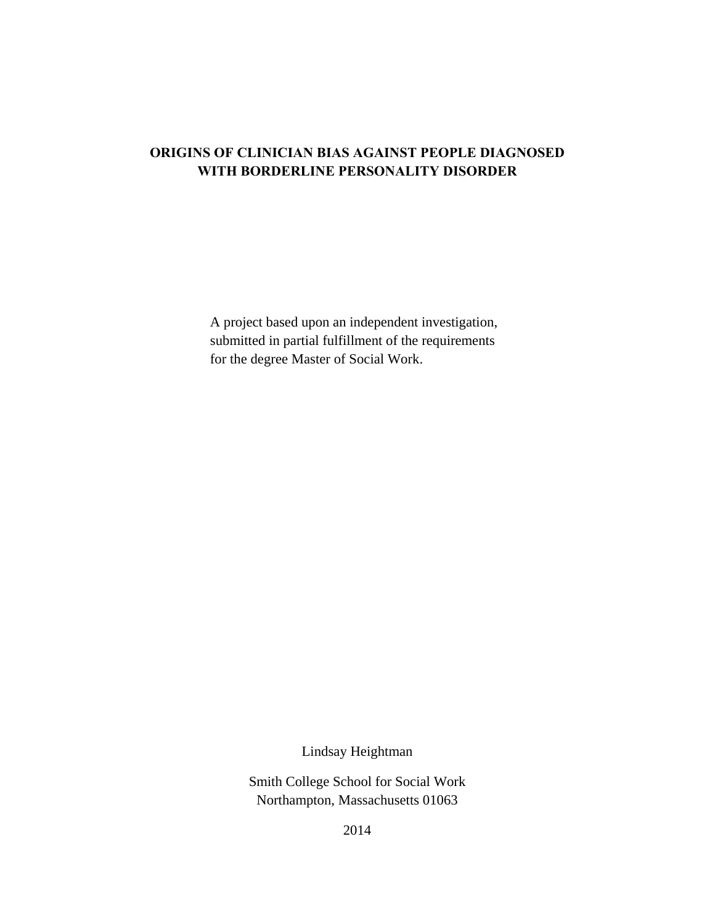# **ORIGINS OF CLINICIAN BIAS AGAINST PEOPLE DIAGNOSED WITH BORDERLINE PERSONALITY DISORDER**

A project based upon an independent investigation, submitted in partial fulfillment of the requirements for the degree Master of Social Work.

Lindsay Heightman

Smith College School for Social Work Northampton, Massachusetts 01063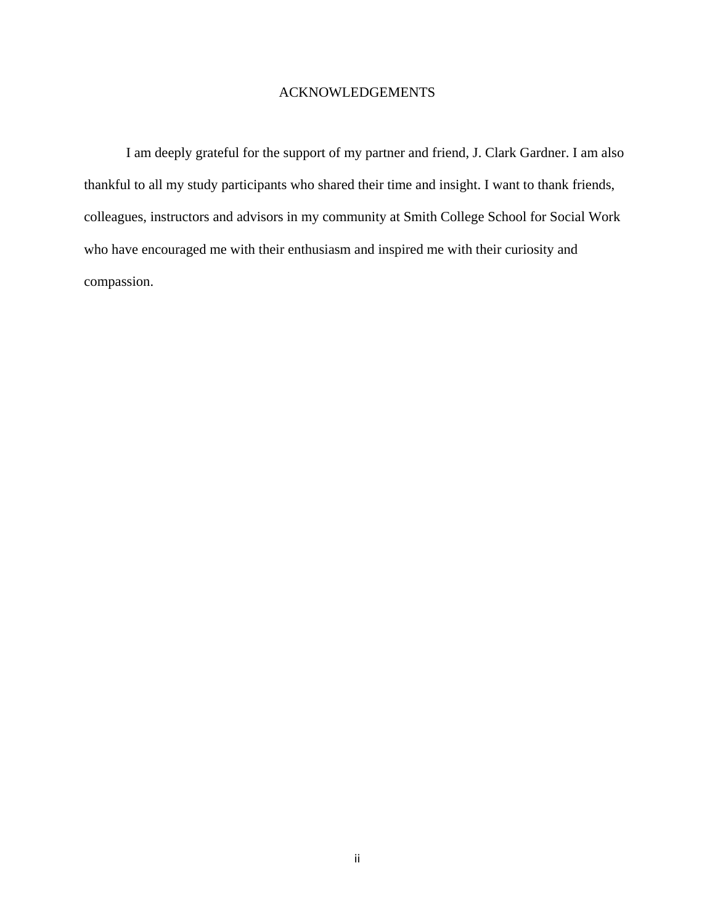#### ACKNOWLEDGEMENTS

I am deeply grateful for the support of my partner and friend, J. Clark Gardner. I am also thankful to all my study participants who shared their time and insight. I want to thank friends, colleagues, instructors and advisors in my community at Smith College School for Social Work who have encouraged me with their enthusiasm and inspired me with their curiosity and compassion.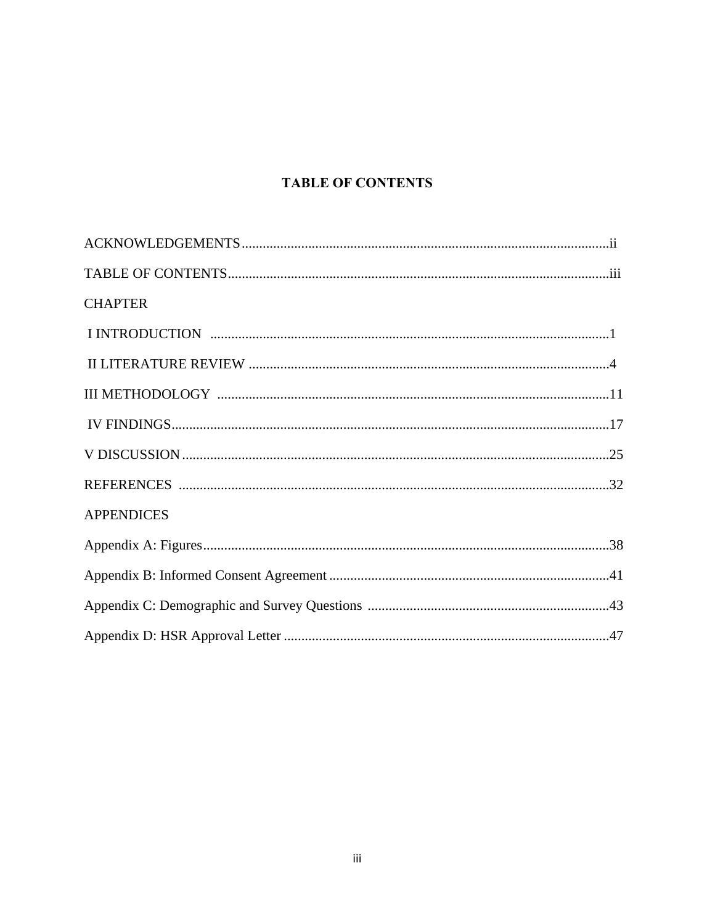# **TABLE OF CONTENTS**

| <b>CHAPTER</b>    |
|-------------------|
|                   |
|                   |
|                   |
|                   |
|                   |
|                   |
| <b>APPENDICES</b> |
|                   |
|                   |
|                   |
|                   |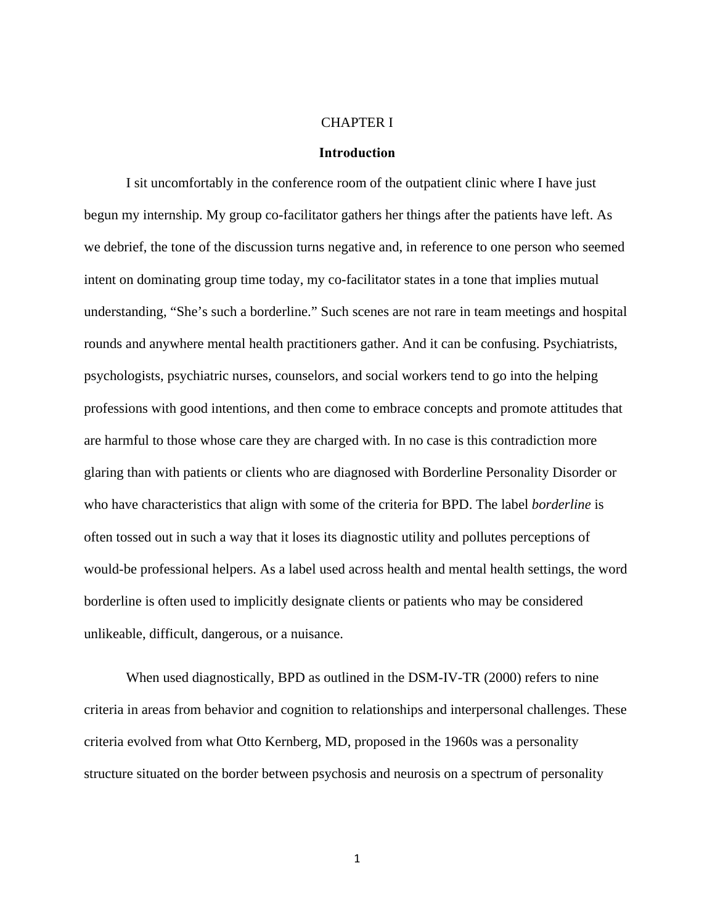### CHAPTER I

#### **Introduction**

I sit uncomfortably in the conference room of the outpatient clinic where I have just begun my internship. My group co-facilitator gathers her things after the patients have left. As we debrief, the tone of the discussion turns negative and, in reference to one person who seemed intent on dominating group time today, my co-facilitator states in a tone that implies mutual understanding, "She's such a borderline." Such scenes are not rare in team meetings and hospital rounds and anywhere mental health practitioners gather. And it can be confusing. Psychiatrists, psychologists, psychiatric nurses, counselors, and social workers tend to go into the helping professions with good intentions, and then come to embrace concepts and promote attitudes that are harmful to those whose care they are charged with. In no case is this contradiction more glaring than with patients or clients who are diagnosed with Borderline Personality Disorder or who have characteristics that align with some of the criteria for BPD. The label *borderline* is often tossed out in such a way that it loses its diagnostic utility and pollutes perceptions of would-be professional helpers. As a label used across health and mental health settings, the word borderline is often used to implicitly designate clients or patients who may be considered unlikeable, difficult, dangerous, or a nuisance.

When used diagnostically, BPD as outlined in the DSM-IV-TR (2000) refers to nine criteria in areas from behavior and cognition to relationships and interpersonal challenges. These criteria evolved from what Otto Kernberg, MD, proposed in the 1960s was a personality structure situated on the border between psychosis and neurosis on a spectrum of personality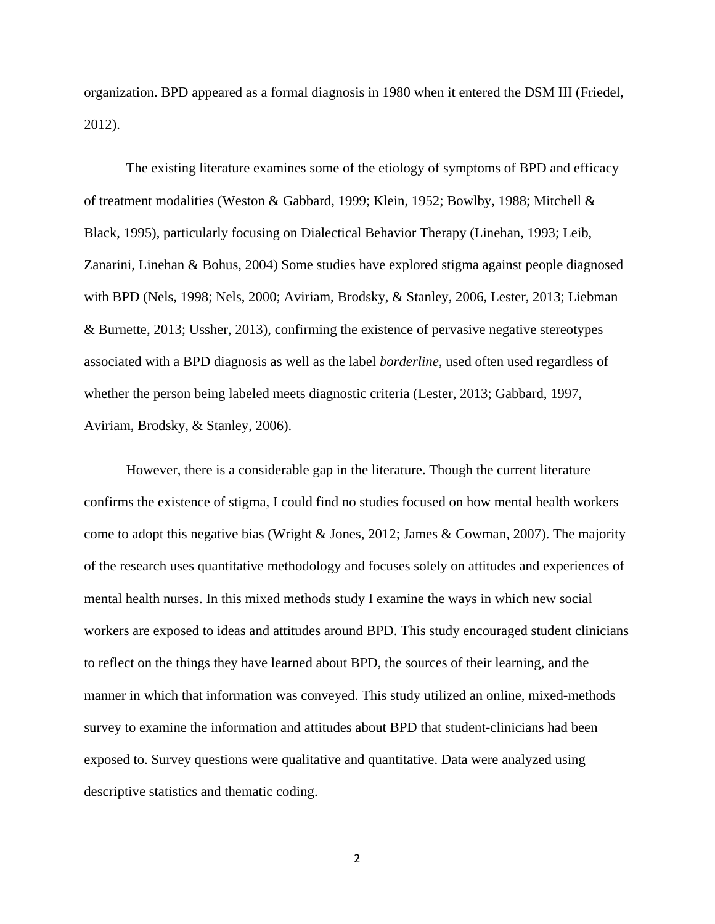organization. BPD appeared as a formal diagnosis in 1980 when it entered the DSM III (Friedel, 2012).

The existing literature examines some of the etiology of symptoms of BPD and efficacy of treatment modalities (Weston & Gabbard, 1999; Klein, 1952; Bowlby, 1988; Mitchell & Black, 1995), particularly focusing on Dialectical Behavior Therapy (Linehan, 1993; Leib, Zanarini, Linehan & Bohus, 2004) Some studies have explored stigma against people diagnosed with BPD (Nels, 1998; Nels, 2000; Aviriam, Brodsky, & Stanley, 2006, Lester, 2013; Liebman & Burnette, 2013; Ussher, 2013), confirming the existence of pervasive negative stereotypes associated with a BPD diagnosis as well as the label *borderline*, used often used regardless of whether the person being labeled meets diagnostic criteria (Lester, 2013; Gabbard, 1997, Aviriam, Brodsky, & Stanley, 2006).

However, there is a considerable gap in the literature. Though the current literature confirms the existence of stigma, I could find no studies focused on how mental health workers come to adopt this negative bias (Wright & Jones, 2012; James & Cowman, 2007). The majority of the research uses quantitative methodology and focuses solely on attitudes and experiences of mental health nurses. In this mixed methods study I examine the ways in which new social workers are exposed to ideas and attitudes around BPD. This study encouraged student clinicians to reflect on the things they have learned about BPD, the sources of their learning, and the manner in which that information was conveyed. This study utilized an online, mixed-methods survey to examine the information and attitudes about BPD that student-clinicians had been exposed to. Survey questions were qualitative and quantitative. Data were analyzed using descriptive statistics and thematic coding.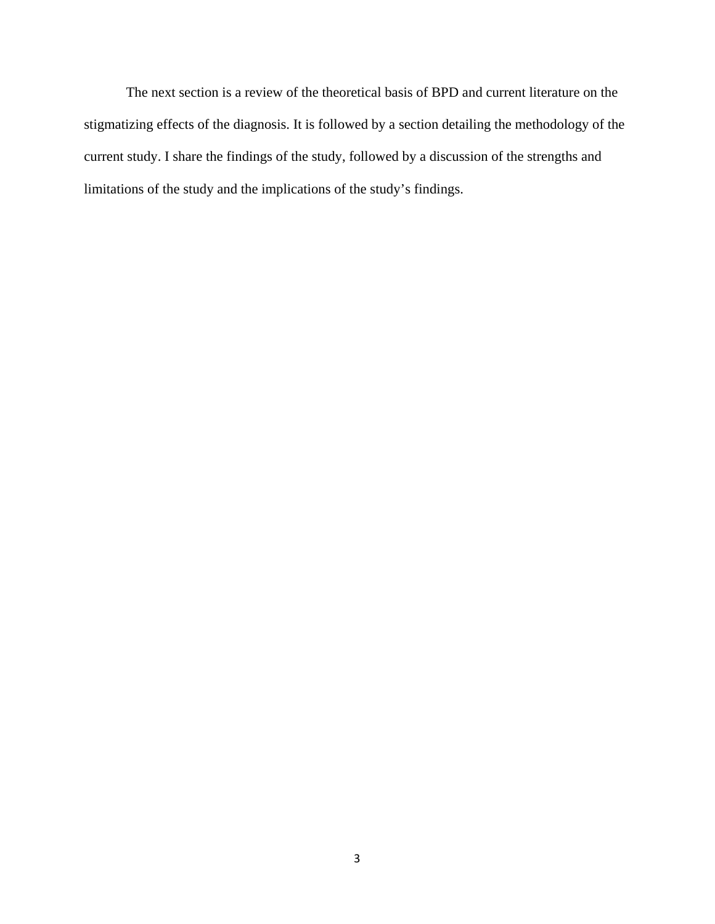The next section is a review of the theoretical basis of BPD and current literature on the stigmatizing effects of the diagnosis. It is followed by a section detailing the methodology of the current study. I share the findings of the study, followed by a discussion of the strengths and limitations of the study and the implications of the study's findings.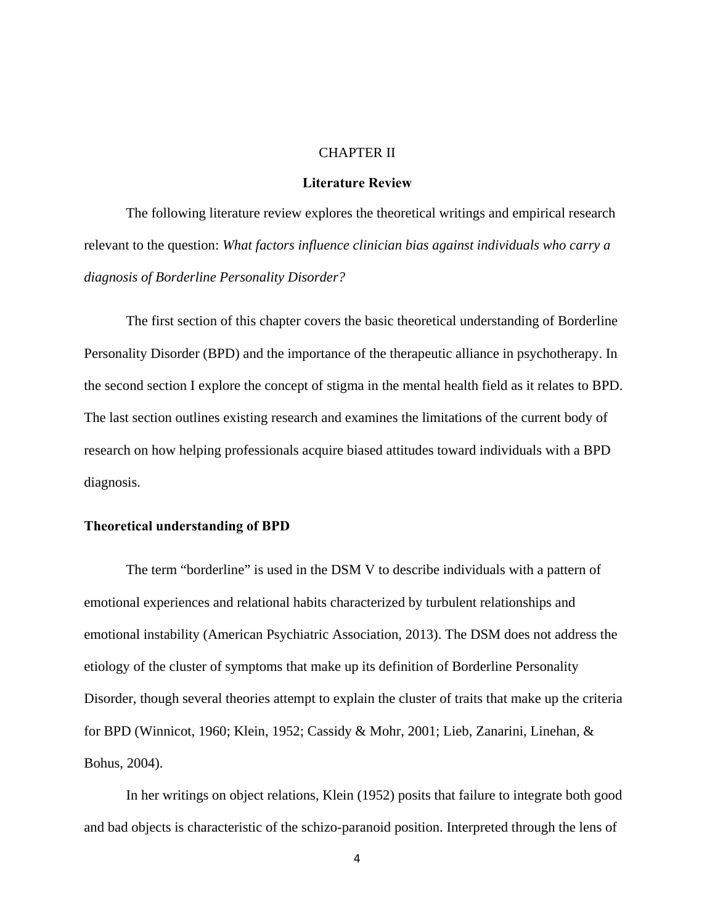#### CHAPTER II

#### **Literature Review**

The following literature review explores the theoretical writings and empirical research relevant to the question: *What factors influence clinician bias against individuals who carry a diagnosis of Borderline Personality Disorder?* 

 The first section of this chapter covers the basic theoretical understanding of Borderline Personality Disorder (BPD) and the importance of the therapeutic alliance in psychotherapy. In the second section I explore the concept of stigma in the mental health field as it relates to BPD. The last section outlines existing research and examines the limitations of the current body of research on how helping professionals acquire biased attitudes toward individuals with a BPD diagnosis.

#### **Theoretical understanding of BPD**

The term "borderline" is used in the DSM V to describe individuals with a pattern of emotional experiences and relational habits characterized by turbulent relationships and emotional instability (American Psychiatric Association, 2013). The DSM does not address the etiology of the cluster of symptoms that make up its definition of Borderline Personality Disorder, though several theories attempt to explain the cluster of traits that make up the criteria for BPD (Winnicot, 1960; Klein, 1952; Cassidy & Mohr, 2001; Lieb, Zanarini, Linehan, & Bohus, 2004).

In her writings on object relations, Klein (1952) posits that failure to integrate both good and bad objects is characteristic of the schizo-paranoid position. Interpreted through the lens of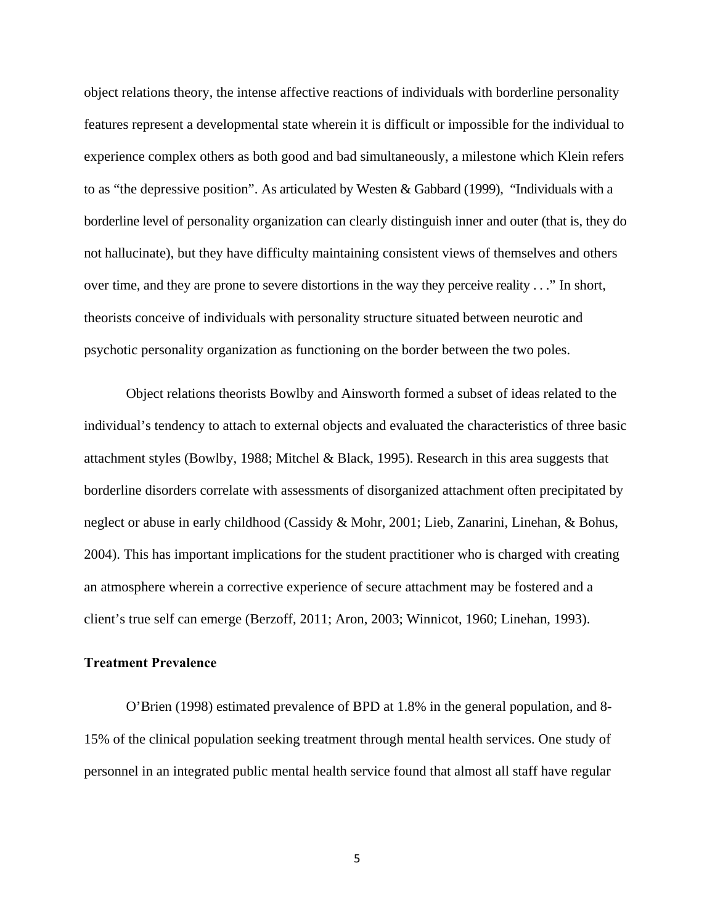object relations theory, the intense affective reactions of individuals with borderline personality features represent a developmental state wherein it is difficult or impossible for the individual to experience complex others as both good and bad simultaneously, a milestone which Klein refers to as "the depressive position". As articulated by Westen & Gabbard (1999), "Individuals with a borderline level of personality organization can clearly distinguish inner and outer (that is, they do not hallucinate), but they have difficulty maintaining consistent views of themselves and others over time, and they are prone to severe distortions in the way they perceive reality . . ." In short, theorists conceive of individuals with personality structure situated between neurotic and psychotic personality organization as functioning on the border between the two poles.

Object relations theorists Bowlby and Ainsworth formed a subset of ideas related to the individual's tendency to attach to external objects and evaluated the characteristics of three basic attachment styles (Bowlby, 1988; Mitchel & Black, 1995). Research in this area suggests that borderline disorders correlate with assessments of disorganized attachment often precipitated by neglect or abuse in early childhood (Cassidy & Mohr, 2001; Lieb, Zanarini, Linehan, & Bohus, 2004). This has important implications for the student practitioner who is charged with creating an atmosphere wherein a corrective experience of secure attachment may be fostered and a client's true self can emerge (Berzoff, 2011; Aron, 2003; Winnicot, 1960; Linehan, 1993).

#### **Treatment Prevalence**

O'Brien (1998) estimated prevalence of BPD at 1.8% in the general population, and 8- 15% of the clinical population seeking treatment through mental health services. One study of personnel in an integrated public mental health service found that almost all staff have regular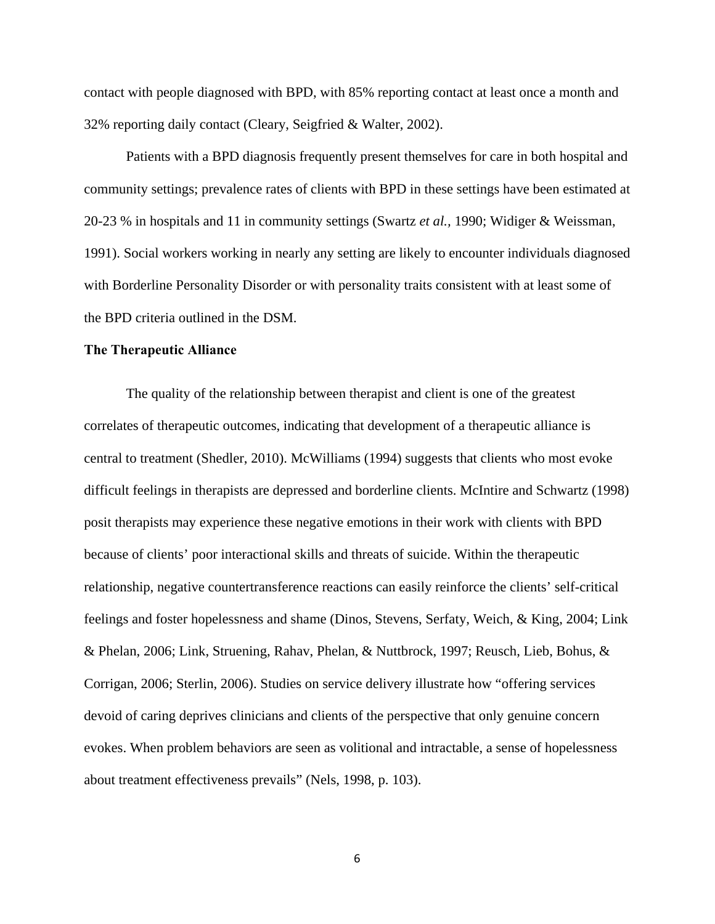contact with people diagnosed with BPD, with 85% reporting contact at least once a month and 32% reporting daily contact (Cleary, Seigfried & Walter, 2002).

Patients with a BPD diagnosis frequently present themselves for care in both hospital and community settings; prevalence rates of clients with BPD in these settings have been estimated at 20-23 % in hospitals and 11 in community settings (Swartz *et al.,* 1990; Widiger & Weissman, 1991). Social workers working in nearly any setting are likely to encounter individuals diagnosed with Borderline Personality Disorder or with personality traits consistent with at least some of the BPD criteria outlined in the DSM.

#### **The Therapeutic Alliance**

The quality of the relationship between therapist and client is one of the greatest correlates of therapeutic outcomes, indicating that development of a therapeutic alliance is central to treatment (Shedler, 2010). McWilliams (1994) suggests that clients who most evoke difficult feelings in therapists are depressed and borderline clients. McIntire and Schwartz (1998) posit therapists may experience these negative emotions in their work with clients with BPD because of clients' poor interactional skills and threats of suicide. Within the therapeutic relationship, negative countertransference reactions can easily reinforce the clients' self-critical feelings and foster hopelessness and shame (Dinos, Stevens, Serfaty, Weich, & King, 2004; Link & Phelan, 2006; Link, Struening, Rahav, Phelan, & Nuttbrock, 1997; Reusch, Lieb, Bohus, & Corrigan, 2006; Sterlin, 2006). Studies on service delivery illustrate how "offering services devoid of caring deprives clinicians and clients of the perspective that only genuine concern evokes. When problem behaviors are seen as volitional and intractable, a sense of hopelessness about treatment effectiveness prevails" (Nels, 1998, p. 103).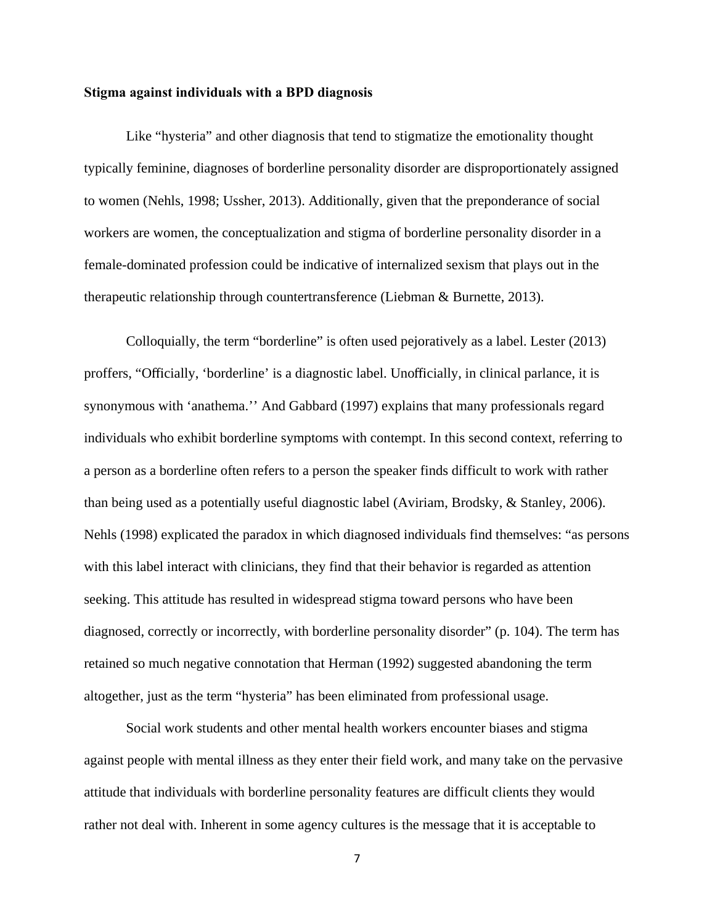#### **Stigma against individuals with a BPD diagnosis**

Like "hysteria" and other diagnosis that tend to stigmatize the emotionality thought typically feminine, diagnoses of borderline personality disorder are disproportionately assigned to women (Nehls, 1998; Ussher, 2013). Additionally, given that the preponderance of social workers are women, the conceptualization and stigma of borderline personality disorder in a female-dominated profession could be indicative of internalized sexism that plays out in the therapeutic relationship through countertransference (Liebman & Burnette, 2013).

Colloquially, the term "borderline" is often used pejoratively as a label. Lester (2013) proffers, "Officially, 'borderline' is a diagnostic label. Unofficially, in clinical parlance, it is synonymous with 'anathema.'' And Gabbard (1997) explains that many professionals regard individuals who exhibit borderline symptoms with contempt. In this second context, referring to a person as a borderline often refers to a person the speaker finds difficult to work with rather than being used as a potentially useful diagnostic label (Aviriam, Brodsky, & Stanley, 2006). Nehls (1998) explicated the paradox in which diagnosed individuals find themselves: "as persons with this label interact with clinicians, they find that their behavior is regarded as attention seeking. This attitude has resulted in widespread stigma toward persons who have been diagnosed, correctly or incorrectly, with borderline personality disorder" (p. 104). The term has retained so much negative connotation that Herman (1992) suggested abandoning the term altogether, just as the term "hysteria" has been eliminated from professional usage.

Social work students and other mental health workers encounter biases and stigma against people with mental illness as they enter their field work, and many take on the pervasive attitude that individuals with borderline personality features are difficult clients they would rather not deal with. Inherent in some agency cultures is the message that it is acceptable to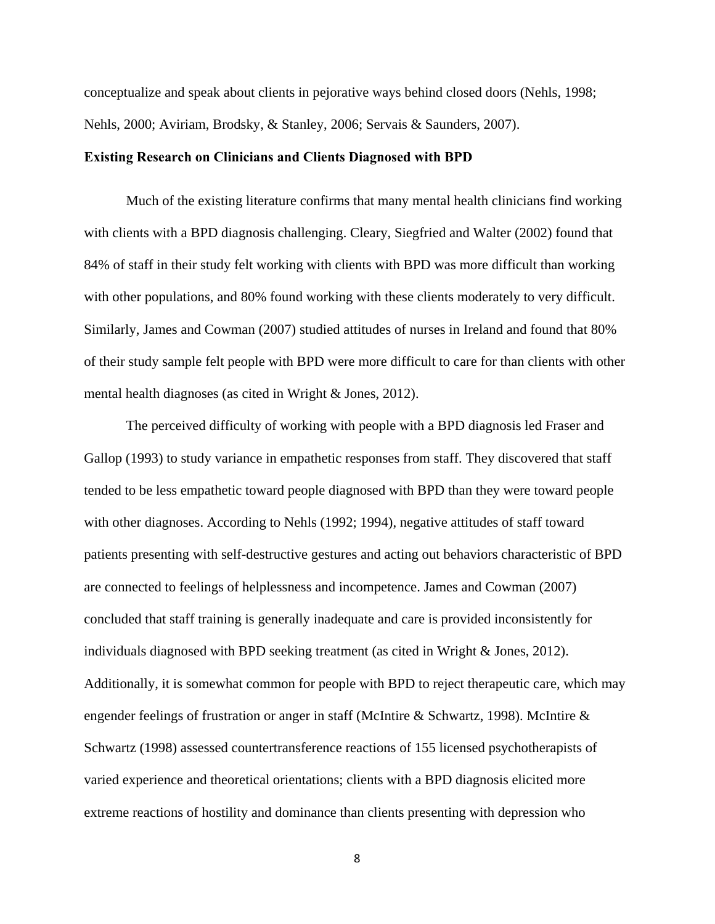conceptualize and speak about clients in pejorative ways behind closed doors (Nehls, 1998; Nehls, 2000; Aviriam, Brodsky, & Stanley, 2006; Servais & Saunders, 2007).

#### **Existing Research on Clinicians and Clients Diagnosed with BPD**

Much of the existing literature confirms that many mental health clinicians find working with clients with a BPD diagnosis challenging. Cleary, Siegfried and Walter (2002) found that 84% of staff in their study felt working with clients with BPD was more difficult than working with other populations, and 80% found working with these clients moderately to very difficult. Similarly, James and Cowman (2007) studied attitudes of nurses in Ireland and found that 80% of their study sample felt people with BPD were more difficult to care for than clients with other mental health diagnoses (as cited in Wright & Jones, 2012).

The perceived difficulty of working with people with a BPD diagnosis led Fraser and Gallop (1993) to study variance in empathetic responses from staff. They discovered that staff tended to be less empathetic toward people diagnosed with BPD than they were toward people with other diagnoses. According to Nehls (1992; 1994), negative attitudes of staff toward patients presenting with self-destructive gestures and acting out behaviors characteristic of BPD are connected to feelings of helplessness and incompetence. James and Cowman (2007) concluded that staff training is generally inadequate and care is provided inconsistently for individuals diagnosed with BPD seeking treatment (as cited in Wright & Jones, 2012). Additionally, it is somewhat common for people with BPD to reject therapeutic care, which may engender feelings of frustration or anger in staff (McIntire & Schwartz, 1998). McIntire & Schwartz (1998) assessed countertransference reactions of 155 licensed psychotherapists of varied experience and theoretical orientations; clients with a BPD diagnosis elicited more extreme reactions of hostility and dominance than clients presenting with depression who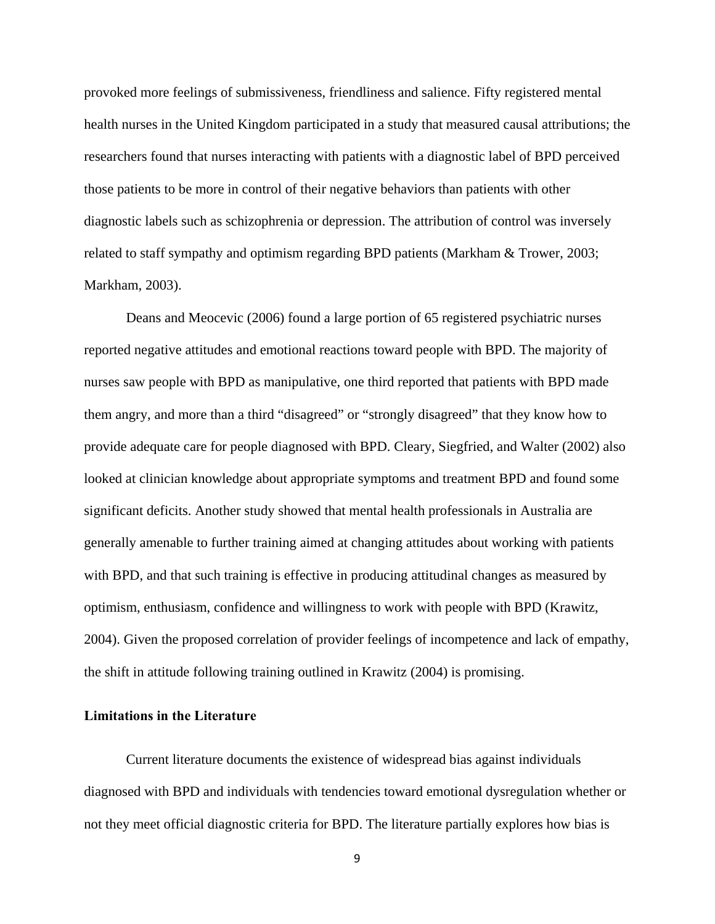provoked more feelings of submissiveness, friendliness and salience. Fifty registered mental health nurses in the United Kingdom participated in a study that measured causal attributions; the researchers found that nurses interacting with patients with a diagnostic label of BPD perceived those patients to be more in control of their negative behaviors than patients with other diagnostic labels such as schizophrenia or depression. The attribution of control was inversely related to staff sympathy and optimism regarding BPD patients (Markham & Trower, 2003; Markham, 2003).

Deans and Meocevic (2006) found a large portion of 65 registered psychiatric nurses reported negative attitudes and emotional reactions toward people with BPD. The majority of nurses saw people with BPD as manipulative, one third reported that patients with BPD made them angry, and more than a third "disagreed" or "strongly disagreed" that they know how to provide adequate care for people diagnosed with BPD. Cleary, Siegfried, and Walter (2002) also looked at clinician knowledge about appropriate symptoms and treatment BPD and found some significant deficits. Another study showed that mental health professionals in Australia are generally amenable to further training aimed at changing attitudes about working with patients with BPD, and that such training is effective in producing attitudinal changes as measured by optimism, enthusiasm, confidence and willingness to work with people with BPD (Krawitz, 2004). Given the proposed correlation of provider feelings of incompetence and lack of empathy, the shift in attitude following training outlined in Krawitz (2004) is promising.

#### **Limitations in the Literature**

Current literature documents the existence of widespread bias against individuals diagnosed with BPD and individuals with tendencies toward emotional dysregulation whether or not they meet official diagnostic criteria for BPD. The literature partially explores how bias is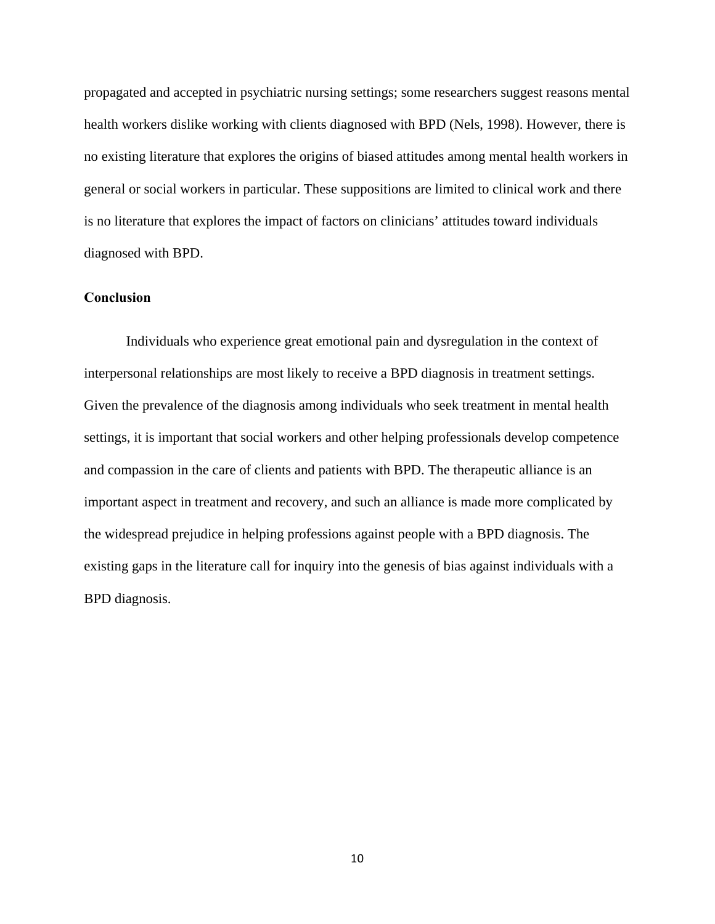propagated and accepted in psychiatric nursing settings; some researchers suggest reasons mental health workers dislike working with clients diagnosed with BPD (Nels, 1998). However, there is no existing literature that explores the origins of biased attitudes among mental health workers in general or social workers in particular. These suppositions are limited to clinical work and there is no literature that explores the impact of factors on clinicians' attitudes toward individuals diagnosed with BPD.

### **Conclusion**

Individuals who experience great emotional pain and dysregulation in the context of interpersonal relationships are most likely to receive a BPD diagnosis in treatment settings. Given the prevalence of the diagnosis among individuals who seek treatment in mental health settings, it is important that social workers and other helping professionals develop competence and compassion in the care of clients and patients with BPD. The therapeutic alliance is an important aspect in treatment and recovery, and such an alliance is made more complicated by the widespread prejudice in helping professions against people with a BPD diagnosis. The existing gaps in the literature call for inquiry into the genesis of bias against individuals with a BPD diagnosis.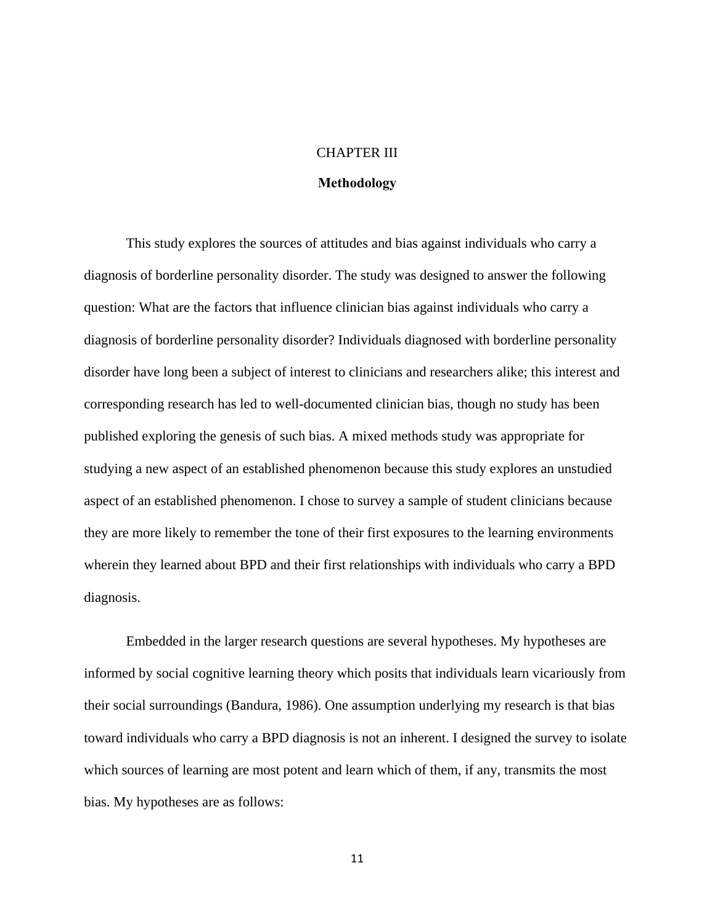### CHAPTER III

#### **Methodology**

This study explores the sources of attitudes and bias against individuals who carry a diagnosis of borderline personality disorder. The study was designed to answer the following question: What are the factors that influence clinician bias against individuals who carry a diagnosis of borderline personality disorder? Individuals diagnosed with borderline personality disorder have long been a subject of interest to clinicians and researchers alike; this interest and corresponding research has led to well-documented clinician bias, though no study has been published exploring the genesis of such bias. A mixed methods study was appropriate for studying a new aspect of an established phenomenon because this study explores an unstudied aspect of an established phenomenon. I chose to survey a sample of student clinicians because they are more likely to remember the tone of their first exposures to the learning environments wherein they learned about BPD and their first relationships with individuals who carry a BPD diagnosis.

Embedded in the larger research questions are several hypotheses. My hypotheses are informed by social cognitive learning theory which posits that individuals learn vicariously from their social surroundings (Bandura, 1986). One assumption underlying my research is that bias toward individuals who carry a BPD diagnosis is not an inherent. I designed the survey to isolate which sources of learning are most potent and learn which of them, if any, transmits the most bias. My hypotheses are as follows: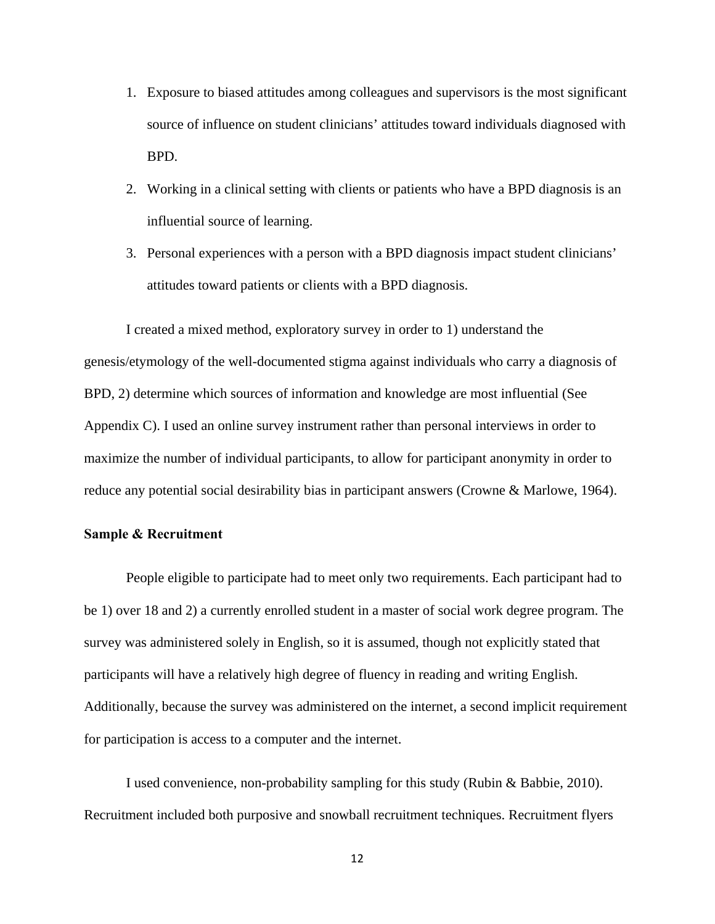- 1. Exposure to biased attitudes among colleagues and supervisors is the most significant source of influence on student clinicians' attitudes toward individuals diagnosed with BPD.
- 2. Working in a clinical setting with clients or patients who have a BPD diagnosis is an influential source of learning.
- 3. Personal experiences with a person with a BPD diagnosis impact student clinicians' attitudes toward patients or clients with a BPD diagnosis.

I created a mixed method, exploratory survey in order to 1) understand the genesis/etymology of the well-documented stigma against individuals who carry a diagnosis of BPD, 2) determine which sources of information and knowledge are most influential (See Appendix C). I used an online survey instrument rather than personal interviews in order to maximize the number of individual participants, to allow for participant anonymity in order to reduce any potential social desirability bias in participant answers (Crowne & Marlowe, 1964).

#### **Sample & Recruitment**

People eligible to participate had to meet only two requirements. Each participant had to be 1) over 18 and 2) a currently enrolled student in a master of social work degree program. The survey was administered solely in English, so it is assumed, though not explicitly stated that participants will have a relatively high degree of fluency in reading and writing English. Additionally, because the survey was administered on the internet, a second implicit requirement for participation is access to a computer and the internet.

I used convenience, non-probability sampling for this study (Rubin & Babbie, 2010). Recruitment included both purposive and snowball recruitment techniques. Recruitment flyers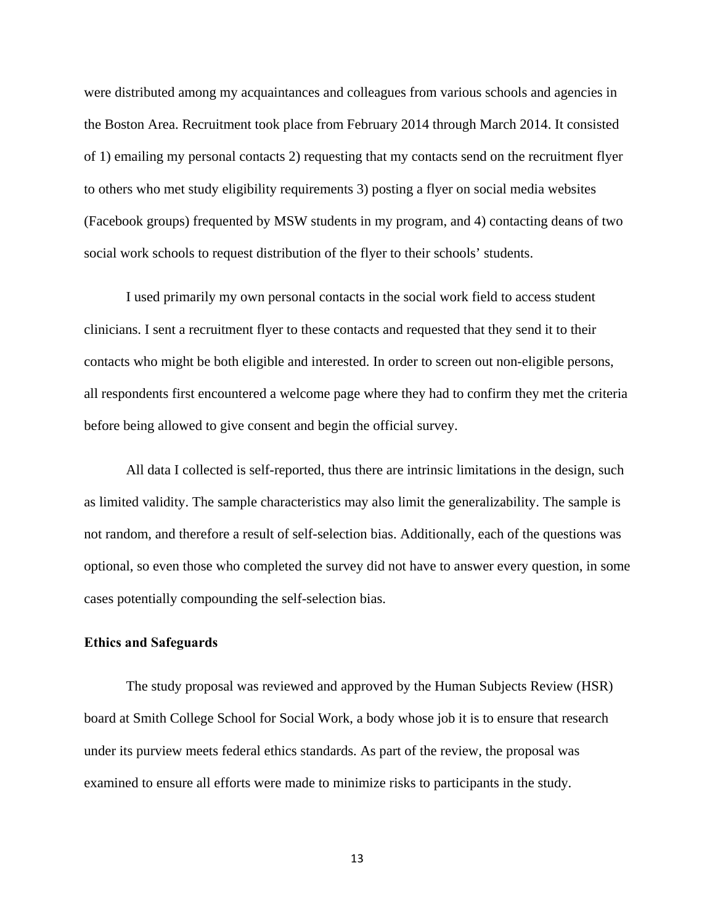were distributed among my acquaintances and colleagues from various schools and agencies in the Boston Area. Recruitment took place from February 2014 through March 2014. It consisted of 1) emailing my personal contacts 2) requesting that my contacts send on the recruitment flyer to others who met study eligibility requirements 3) posting a flyer on social media websites (Facebook groups) frequented by MSW students in my program, and 4) contacting deans of two social work schools to request distribution of the flyer to their schools' students.

I used primarily my own personal contacts in the social work field to access student clinicians. I sent a recruitment flyer to these contacts and requested that they send it to their contacts who might be both eligible and interested. In order to screen out non-eligible persons, all respondents first encountered a welcome page where they had to confirm they met the criteria before being allowed to give consent and begin the official survey.

All data I collected is self-reported, thus there are intrinsic limitations in the design, such as limited validity. The sample characteristics may also limit the generalizability. The sample is not random, and therefore a result of self-selection bias. Additionally, each of the questions was optional, so even those who completed the survey did not have to answer every question, in some cases potentially compounding the self-selection bias.

#### **Ethics and Safeguards**

The study proposal was reviewed and approved by the Human Subjects Review (HSR) board at Smith College School for Social Work, a body whose job it is to ensure that research under its purview meets federal ethics standards. As part of the review, the proposal was examined to ensure all efforts were made to minimize risks to participants in the study.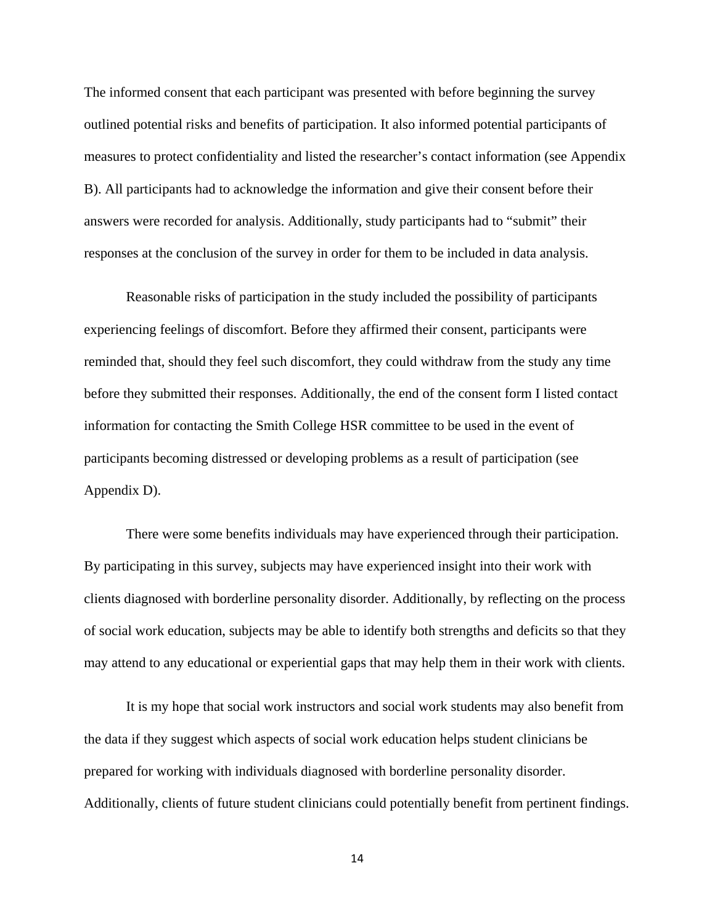The informed consent that each participant was presented with before beginning the survey outlined potential risks and benefits of participation. It also informed potential participants of measures to protect confidentiality and listed the researcher's contact information (see Appendix B). All participants had to acknowledge the information and give their consent before their answers were recorded for analysis. Additionally, study participants had to "submit" their responses at the conclusion of the survey in order for them to be included in data analysis.

Reasonable risks of participation in the study included the possibility of participants experiencing feelings of discomfort. Before they affirmed their consent, participants were reminded that, should they feel such discomfort, they could withdraw from the study any time before they submitted their responses. Additionally, the end of the consent form I listed contact information for contacting the Smith College HSR committee to be used in the event of participants becoming distressed or developing problems as a result of participation (see Appendix D).

There were some benefits individuals may have experienced through their participation. By participating in this survey, subjects may have experienced insight into their work with clients diagnosed with borderline personality disorder. Additionally, by reflecting on the process of social work education, subjects may be able to identify both strengths and deficits so that they may attend to any educational or experiential gaps that may help them in their work with clients.

It is my hope that social work instructors and social work students may also benefit from the data if they suggest which aspects of social work education helps student clinicians be prepared for working with individuals diagnosed with borderline personality disorder. Additionally, clients of future student clinicians could potentially benefit from pertinent findings.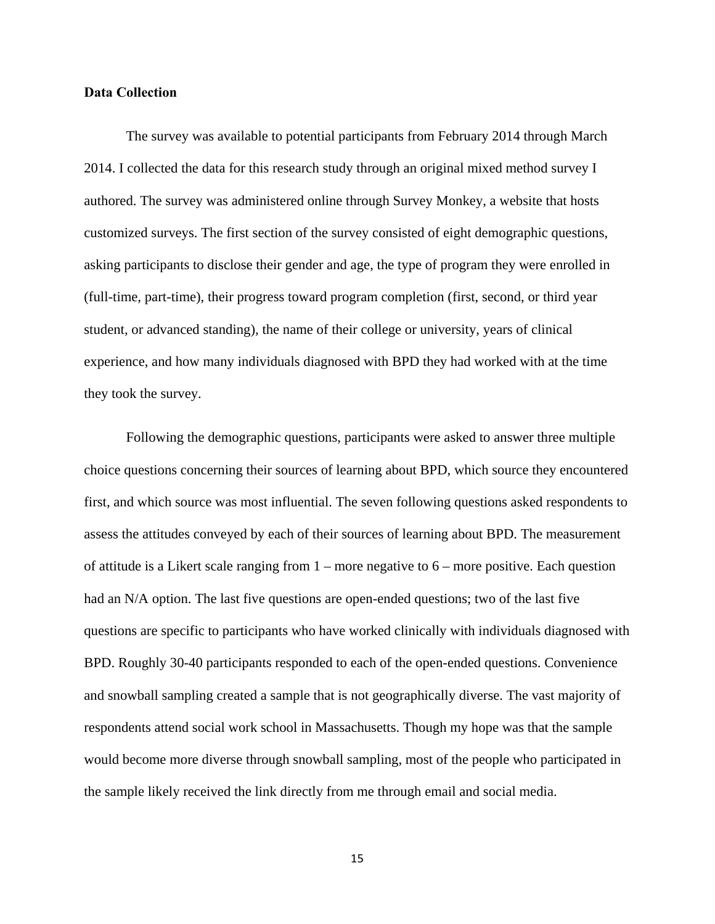#### **Data Collection**

The survey was available to potential participants from February 2014 through March 2014. I collected the data for this research study through an original mixed method survey I authored. The survey was administered online through Survey Monkey, a website that hosts customized surveys. The first section of the survey consisted of eight demographic questions, asking participants to disclose their gender and age, the type of program they were enrolled in (full-time, part-time), their progress toward program completion (first, second, or third year student, or advanced standing), the name of their college or university, years of clinical experience, and how many individuals diagnosed with BPD they had worked with at the time they took the survey.

Following the demographic questions, participants were asked to answer three multiple choice questions concerning their sources of learning about BPD, which source they encountered first, and which source was most influential. The seven following questions asked respondents to assess the attitudes conveyed by each of their sources of learning about BPD. The measurement of attitude is a Likert scale ranging from  $1$  – more negative to  $6$  – more positive. Each question had an N/A option. The last five questions are open-ended questions; two of the last five questions are specific to participants who have worked clinically with individuals diagnosed with BPD. Roughly 30-40 participants responded to each of the open-ended questions. Convenience and snowball sampling created a sample that is not geographically diverse. The vast majority of respondents attend social work school in Massachusetts. Though my hope was that the sample would become more diverse through snowball sampling, most of the people who participated in the sample likely received the link directly from me through email and social media.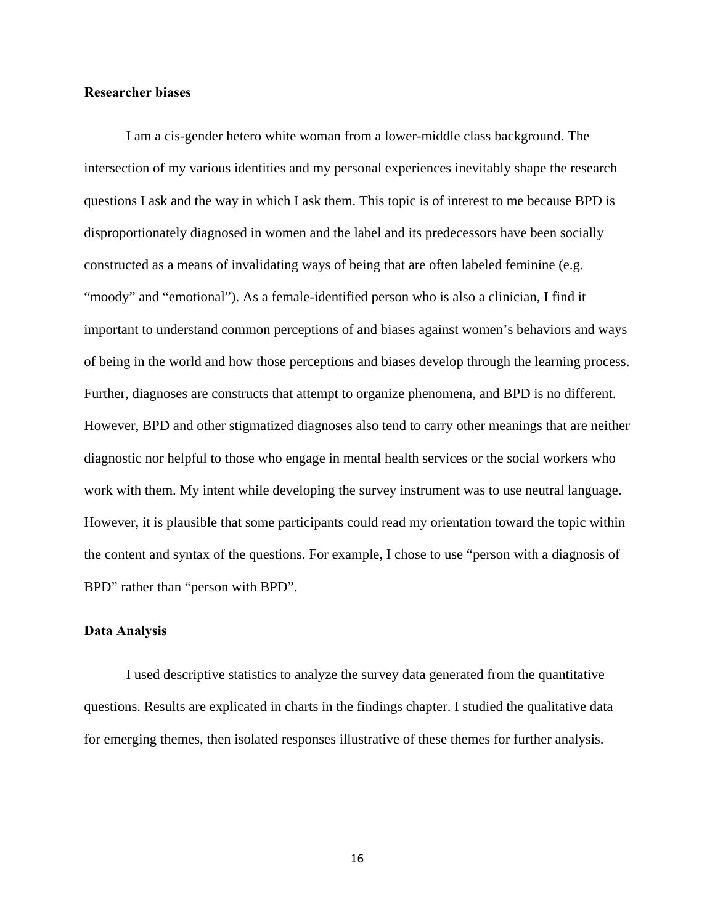#### **Researcher biases**

I am a cis-gender hetero white woman from a lower-middle class background. The intersection of my various identities and my personal experiences inevitably shape the research questions I ask and the way in which I ask them. This topic is of interest to me because BPD is disproportionately diagnosed in women and the label and its predecessors have been socially constructed as a means of invalidating ways of being that are often labeled feminine (e.g. "moody" and "emotional"). As a female-identified person who is also a clinician, I find it important to understand common perceptions of and biases against women's behaviors and ways of being in the world and how those perceptions and biases develop through the learning process. Further, diagnoses are constructs that attempt to organize phenomena, and BPD is no different. However, BPD and other stigmatized diagnoses also tend to carry other meanings that are neither diagnostic nor helpful to those who engage in mental health services or the social workers who work with them. My intent while developing the survey instrument was to use neutral language. However, it is plausible that some participants could read my orientation toward the topic within the content and syntax of the questions. For example, I chose to use "person with a diagnosis of BPD" rather than "person with BPD".

#### **Data Analysis**

I used descriptive statistics to analyze the survey data generated from the quantitative questions. Results are explicated in charts in the findings chapter. I studied the qualitative data for emerging themes, then isolated responses illustrative of these themes for further analysis.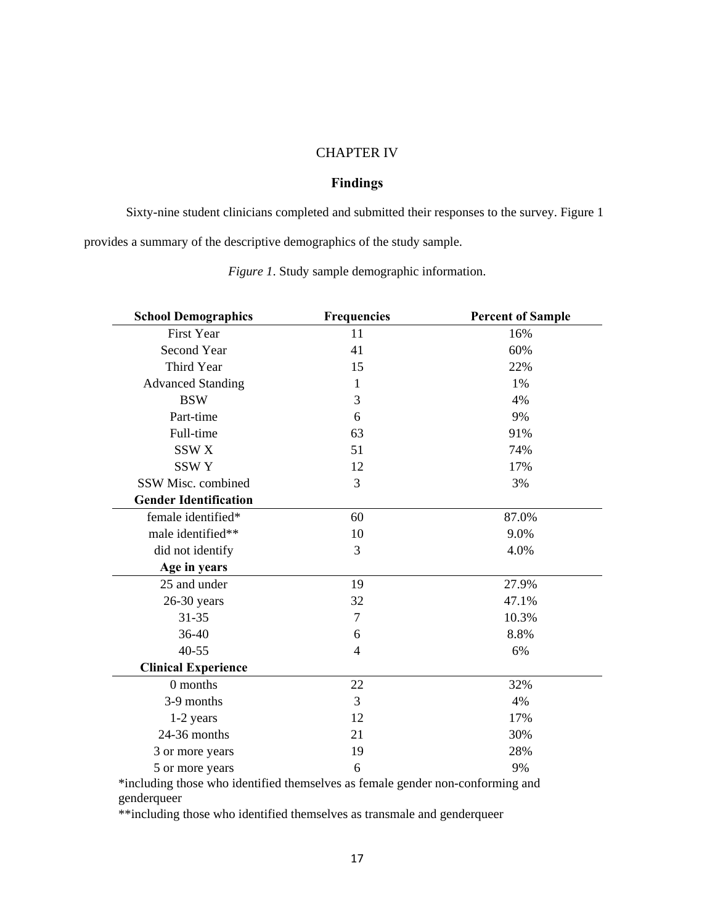#### CHAPTER IV

# **Findings**

Sixty-nine student clinicians completed and submitted their responses to the survey. Figure 1 provides a summary of the descriptive demographics of the study sample.

| <b>School Demographics</b>   | <b>Frequencies</b> | <b>Percent of Sample</b> |
|------------------------------|--------------------|--------------------------|
| <b>First Year</b>            | 11                 | 16%                      |
| Second Year                  | 41                 | 60%                      |
| Third Year                   | 15                 | 22%                      |
| <b>Advanced Standing</b>     | 1                  | 1%                       |
| <b>BSW</b>                   | 3                  | 4%                       |
| Part-time                    | 6                  | 9%                       |
| Full-time                    | 63                 | 91%                      |
| SSW <sub>X</sub>             | 51                 | 74%                      |
| <b>SSWY</b>                  | 12                 | 17%                      |
| SSW Misc. combined           | 3                  | 3%                       |
| <b>Gender Identification</b> |                    |                          |
| female identified*           | 60                 | 87.0%                    |
| male identified**            | 10                 | 9.0%                     |
| did not identify             | 3                  | 4.0%                     |
| Age in years                 |                    |                          |
| 25 and under                 | 19                 | 27.9%                    |
| $26-30$ years                | 32                 | 47.1%                    |
| $31 - 35$                    | $\tau$             | 10.3%                    |
| 36-40                        | 6                  | 8.8%                     |
| $40 - 55$                    | $\overline{4}$     | 6%                       |
| <b>Clinical Experience</b>   |                    |                          |
| 0 months                     | 22                 | 32%                      |
| 3-9 months                   | $\overline{3}$     | 4%                       |
| 1-2 years                    | 12                 | 17%                      |
| 24-36 months                 | 21                 | 30%                      |
| 3 or more years              | 19                 | 28%                      |
| 5 or more years              | 6                  | 9%                       |

*Figure 1*. Study sample demographic information.

\*including those who identified themselves as female gender non-conforming and genderqueer

\*\*including those who identified themselves as transmale and genderqueer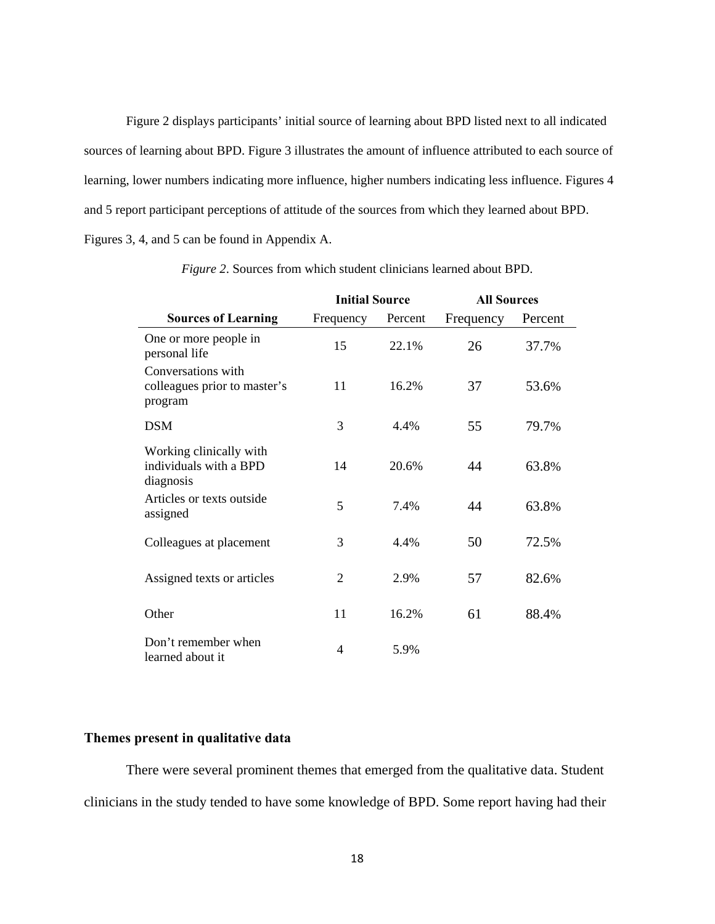Figure 2 displays participants' initial source of learning about BPD listed next to all indicated sources of learning about BPD. Figure 3 illustrates the amount of influence attributed to each source of learning, lower numbers indicating more influence, higher numbers indicating less influence. Figures 4 and 5 report participant perceptions of attitude of the sources from which they learned about BPD. Figures 3, 4, and 5 can be found in Appendix A.

|                                                                | <b>Initial Source</b> |         | <b>All Sources</b> |         |  |
|----------------------------------------------------------------|-----------------------|---------|--------------------|---------|--|
| <b>Sources of Learning</b>                                     | Frequency             | Percent | Frequency          | Percent |  |
| One or more people in<br>personal life                         | 15                    | 22.1%   | 26                 | 37.7%   |  |
| Conversations with<br>colleagues prior to master's<br>program  | 11                    | 16.2%   | 37                 | 53.6%   |  |
| <b>DSM</b>                                                     | 3                     | 4.4%    | 55                 | 79.7%   |  |
| Working clinically with<br>individuals with a BPD<br>diagnosis | 14                    | 20.6%   | 44                 | 63.8%   |  |
| Articles or texts outside<br>assigned                          | 5                     | 7.4%    | 44                 | 63.8%   |  |
| Colleagues at placement                                        | 3                     | 4.4%    | 50                 | 72.5%   |  |
| Assigned texts or articles                                     | $\overline{2}$        | 2.9%    | 57                 | 82.6%   |  |
| Other                                                          | 11                    | 16.2%   | 61                 | 88.4%   |  |
| Don't remember when<br>learned about it                        | 4                     | 5.9%    |                    |         |  |

*Figure 2*. Sources from which student clinicians learned about BPD.

#### **Themes present in qualitative data**

There were several prominent themes that emerged from the qualitative data. Student clinicians in the study tended to have some knowledge of BPD. Some report having had their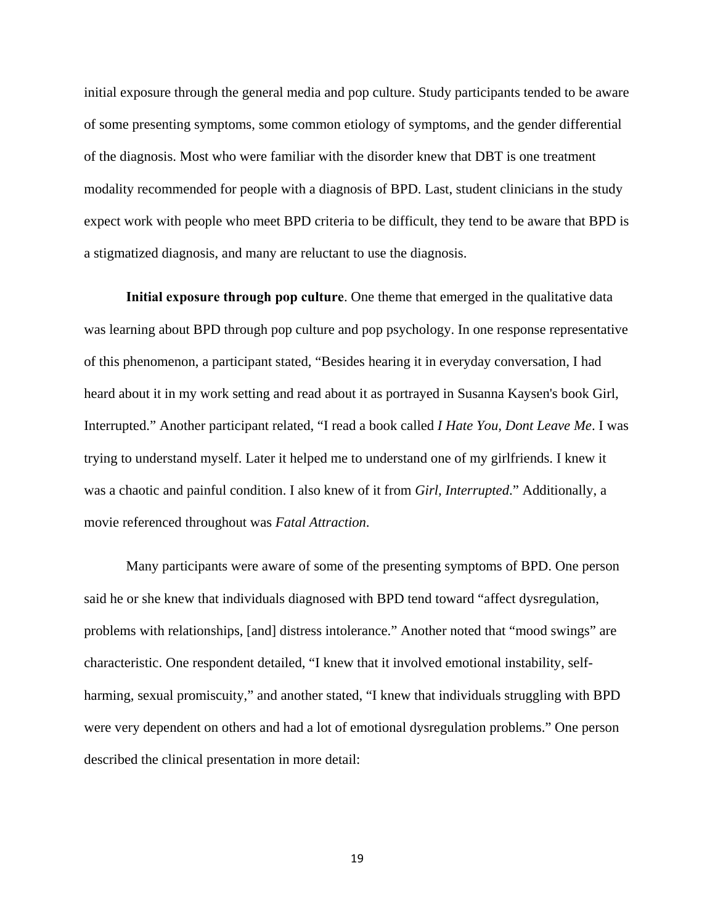initial exposure through the general media and pop culture. Study participants tended to be aware of some presenting symptoms, some common etiology of symptoms, and the gender differential of the diagnosis. Most who were familiar with the disorder knew that DBT is one treatment modality recommended for people with a diagnosis of BPD. Last, student clinicians in the study expect work with people who meet BPD criteria to be difficult, they tend to be aware that BPD is a stigmatized diagnosis, and many are reluctant to use the diagnosis.

**Initial exposure through pop culture**. One theme that emerged in the qualitative data was learning about BPD through pop culture and pop psychology. In one response representative of this phenomenon, a participant stated, "Besides hearing it in everyday conversation, I had heard about it in my work setting and read about it as portrayed in Susanna Kaysen's book Girl, Interrupted." Another participant related, "I read a book called *I Hate You, Dont Leave Me*. I was trying to understand myself. Later it helped me to understand one of my girlfriends. I knew it was a chaotic and painful condition. I also knew of it from *Girl, Interrupted*." Additionally, a movie referenced throughout was *Fatal Attraction*.

Many participants were aware of some of the presenting symptoms of BPD. One person said he or she knew that individuals diagnosed with BPD tend toward "affect dysregulation, problems with relationships, [and] distress intolerance." Another noted that "mood swings" are characteristic. One respondent detailed, "I knew that it involved emotional instability, selfharming, sexual promiscuity," and another stated, "I knew that individuals struggling with BPD were very dependent on others and had a lot of emotional dysregulation problems." One person described the clinical presentation in more detail: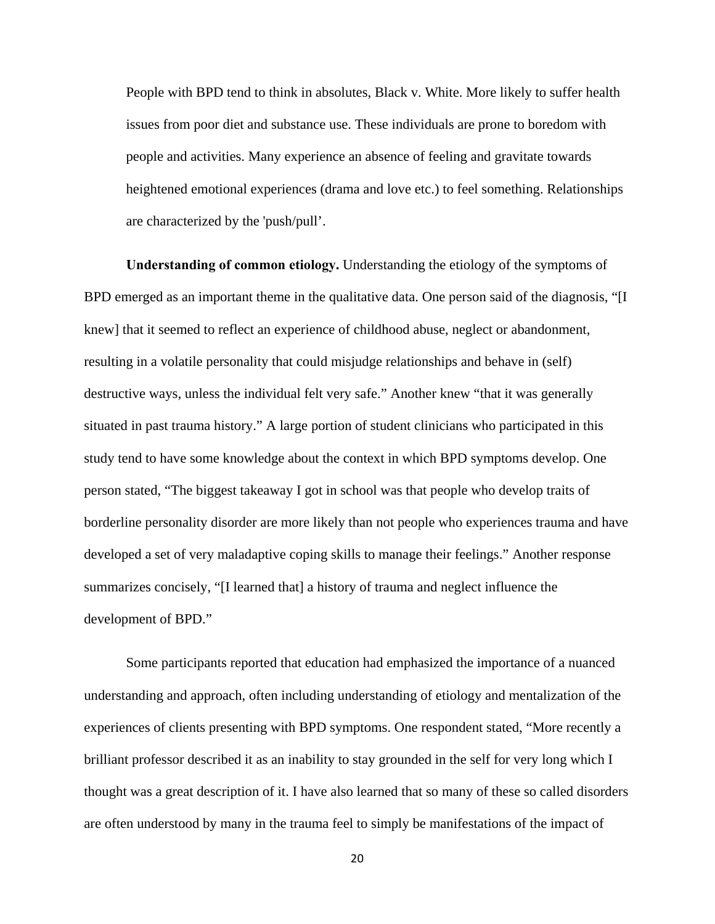People with BPD tend to think in absolutes, Black v. White. More likely to suffer health issues from poor diet and substance use. These individuals are prone to boredom with people and activities. Many experience an absence of feeling and gravitate towards heightened emotional experiences (drama and love etc.) to feel something. Relationships are characterized by the 'push/pull'.

**Understanding of common etiology.** Understanding the etiology of the symptoms of BPD emerged as an important theme in the qualitative data. One person said of the diagnosis, "[I knew] that it seemed to reflect an experience of childhood abuse, neglect or abandonment, resulting in a volatile personality that could misjudge relationships and behave in (self) destructive ways, unless the individual felt very safe." Another knew "that it was generally situated in past trauma history." A large portion of student clinicians who participated in this study tend to have some knowledge about the context in which BPD symptoms develop. One person stated, "The biggest takeaway I got in school was that people who develop traits of borderline personality disorder are more likely than not people who experiences trauma and have developed a set of very maladaptive coping skills to manage their feelings." Another response summarizes concisely, "[I learned that] a history of trauma and neglect influence the development of BPD."

Some participants reported that education had emphasized the importance of a nuanced understanding and approach, often including understanding of etiology and mentalization of the experiences of clients presenting with BPD symptoms. One respondent stated, "More recently a brilliant professor described it as an inability to stay grounded in the self for very long which I thought was a great description of it. I have also learned that so many of these so called disorders are often understood by many in the trauma feel to simply be manifestations of the impact of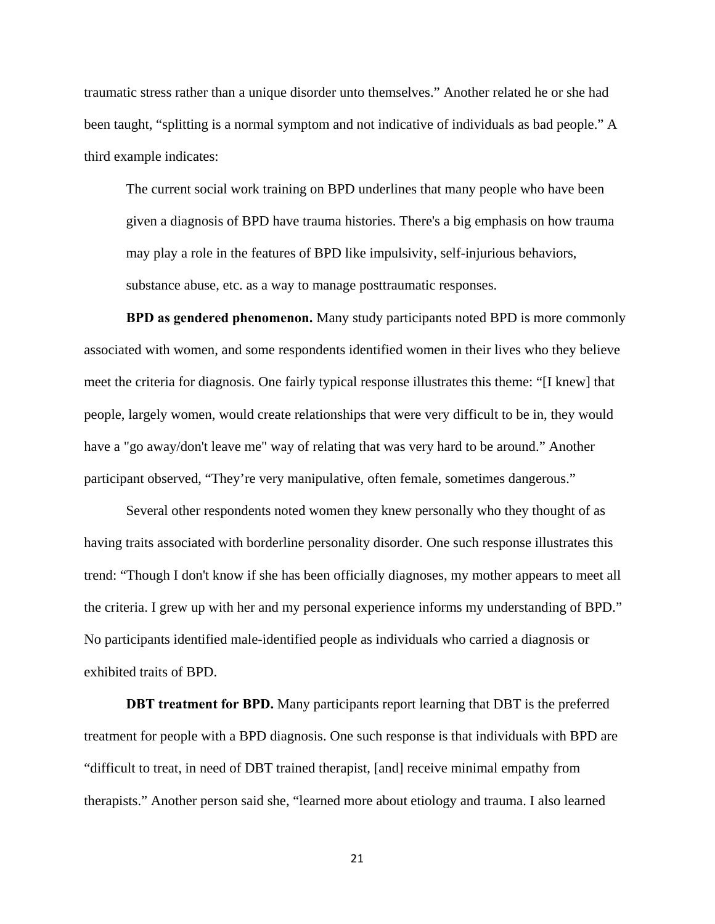traumatic stress rather than a unique disorder unto themselves." Another related he or she had been taught, "splitting is a normal symptom and not indicative of individuals as bad people." A third example indicates:

The current social work training on BPD underlines that many people who have been given a diagnosis of BPD have trauma histories. There's a big emphasis on how trauma may play a role in the features of BPD like impulsivity, self-injurious behaviors, substance abuse, etc. as a way to manage posttraumatic responses.

**BPD as gendered phenomenon.** Many study participants noted BPD is more commonly associated with women, and some respondents identified women in their lives who they believe meet the criteria for diagnosis. One fairly typical response illustrates this theme: "[I knew] that people, largely women, would create relationships that were very difficult to be in, they would have a "go away/don't leave me" way of relating that was very hard to be around." Another participant observed, "They're very manipulative, often female, sometimes dangerous."

Several other respondents noted women they knew personally who they thought of as having traits associated with borderline personality disorder. One such response illustrates this trend: "Though I don't know if she has been officially diagnoses, my mother appears to meet all the criteria. I grew up with her and my personal experience informs my understanding of BPD." No participants identified male-identified people as individuals who carried a diagnosis or exhibited traits of BPD.

**DBT treatment for BPD.** Many participants report learning that DBT is the preferred treatment for people with a BPD diagnosis. One such response is that individuals with BPD are "difficult to treat, in need of DBT trained therapist, [and] receive minimal empathy from therapists." Another person said she, "learned more about etiology and trauma. I also learned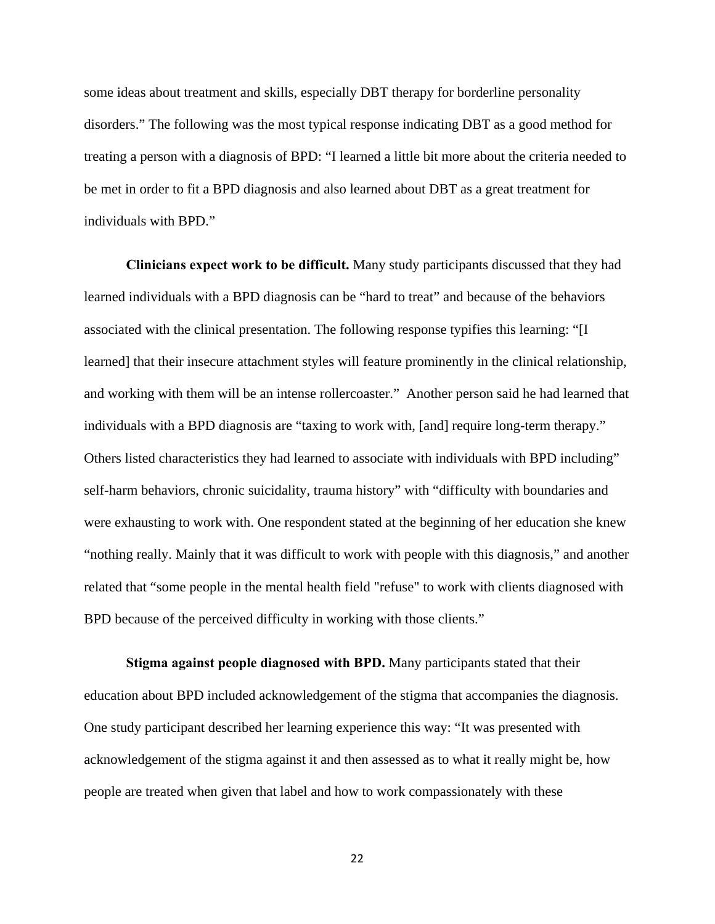some ideas about treatment and skills, especially DBT therapy for borderline personality disorders." The following was the most typical response indicating DBT as a good method for treating a person with a diagnosis of BPD: "I learned a little bit more about the criteria needed to be met in order to fit a BPD diagnosis and also learned about DBT as a great treatment for individuals with BPD."

**Clinicians expect work to be difficult.** Many study participants discussed that they had learned individuals with a BPD diagnosis can be "hard to treat" and because of the behaviors associated with the clinical presentation. The following response typifies this learning: "[I learned] that their insecure attachment styles will feature prominently in the clinical relationship, and working with them will be an intense rollercoaster." Another person said he had learned that individuals with a BPD diagnosis are "taxing to work with, [and] require long-term therapy." Others listed characteristics they had learned to associate with individuals with BPD including" self-harm behaviors, chronic suicidality, trauma history" with "difficulty with boundaries and were exhausting to work with. One respondent stated at the beginning of her education she knew "nothing really. Mainly that it was difficult to work with people with this diagnosis," and another related that "some people in the mental health field "refuse" to work with clients diagnosed with BPD because of the perceived difficulty in working with those clients."

**Stigma against people diagnosed with BPD.** Many participants stated that their education about BPD included acknowledgement of the stigma that accompanies the diagnosis. One study participant described her learning experience this way: "It was presented with acknowledgement of the stigma against it and then assessed as to what it really might be, how people are treated when given that label and how to work compassionately with these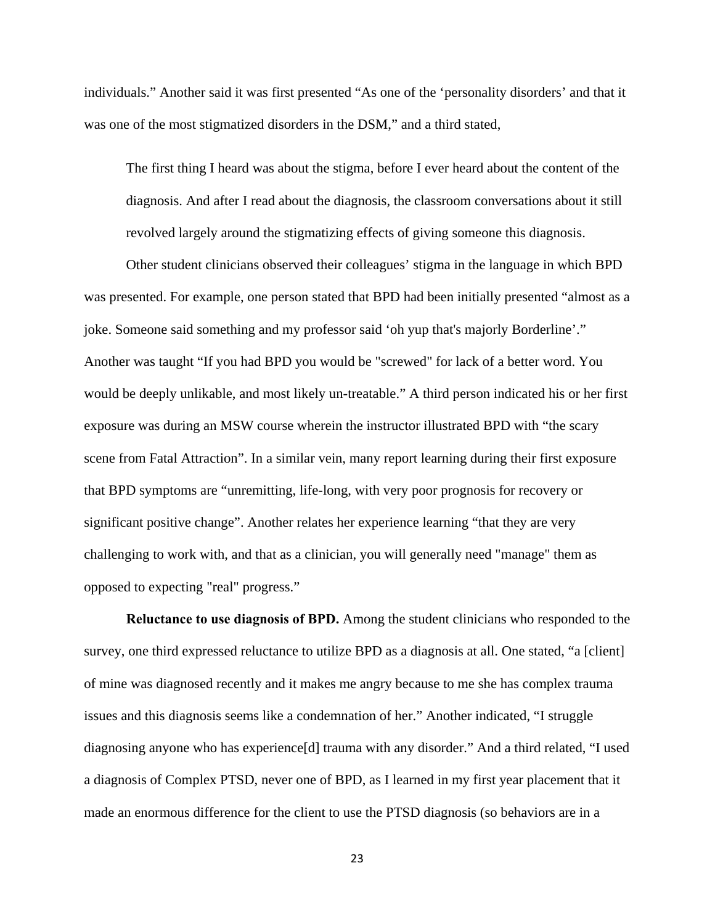individuals." Another said it was first presented "As one of the 'personality disorders' and that it was one of the most stigmatized disorders in the DSM," and a third stated,

The first thing I heard was about the stigma, before I ever heard about the content of the diagnosis. And after I read about the diagnosis, the classroom conversations about it still revolved largely around the stigmatizing effects of giving someone this diagnosis.

 Other student clinicians observed their colleagues' stigma in the language in which BPD was presented. For example, one person stated that BPD had been initially presented "almost as a joke. Someone said something and my professor said 'oh yup that's majorly Borderline'." Another was taught "If you had BPD you would be "screwed" for lack of a better word. You would be deeply unlikable, and most likely un-treatable." A third person indicated his or her first exposure was during an MSW course wherein the instructor illustrated BPD with "the scary scene from Fatal Attraction". In a similar vein, many report learning during their first exposure that BPD symptoms are "unremitting, life-long, with very poor prognosis for recovery or significant positive change". Another relates her experience learning "that they are very challenging to work with, and that as a clinician, you will generally need "manage" them as opposed to expecting "real" progress."

**Reluctance to use diagnosis of BPD.** Among the student clinicians who responded to the survey, one third expressed reluctance to utilize BPD as a diagnosis at all. One stated, "a [client] of mine was diagnosed recently and it makes me angry because to me she has complex trauma issues and this diagnosis seems like a condemnation of her." Another indicated, "I struggle diagnosing anyone who has experience[d] trauma with any disorder." And a third related, "I used a diagnosis of Complex PTSD, never one of BPD, as I learned in my first year placement that it made an enormous difference for the client to use the PTSD diagnosis (so behaviors are in a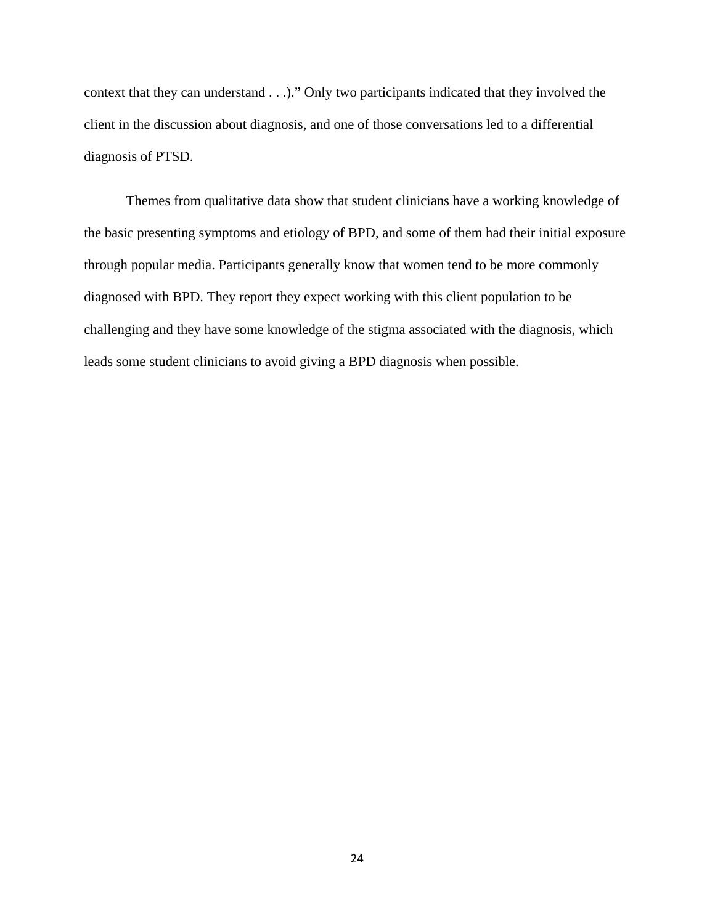context that they can understand . . .)." Only two participants indicated that they involved the client in the discussion about diagnosis, and one of those conversations led to a differential diagnosis of PTSD.

 Themes from qualitative data show that student clinicians have a working knowledge of the basic presenting symptoms and etiology of BPD, and some of them had their initial exposure through popular media. Participants generally know that women tend to be more commonly diagnosed with BPD. They report they expect working with this client population to be challenging and they have some knowledge of the stigma associated with the diagnosis, which leads some student clinicians to avoid giving a BPD diagnosis when possible.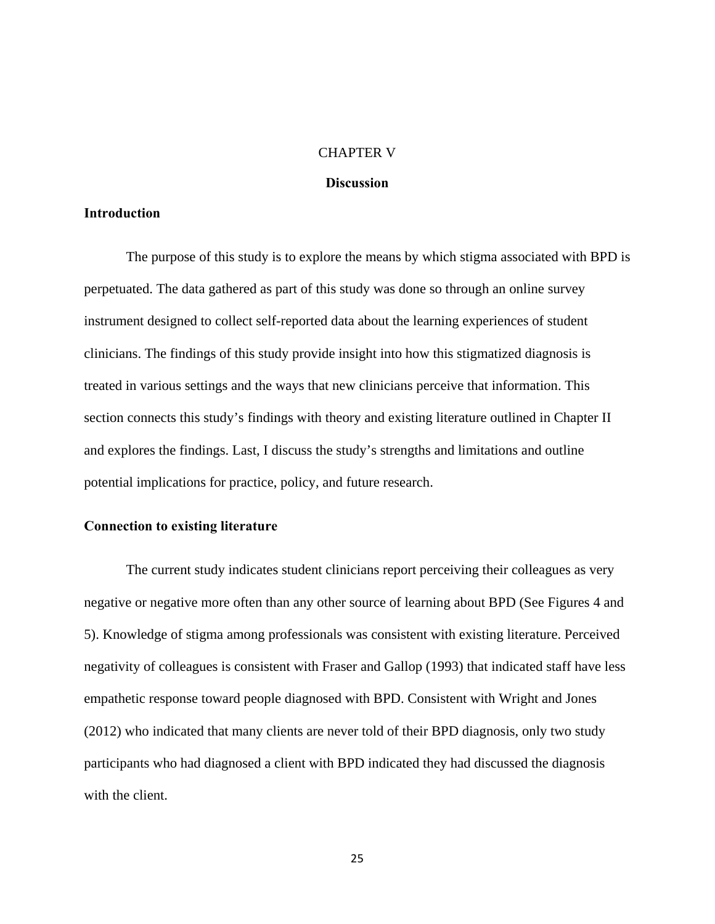#### CHAPTER V

#### **Discussion**

#### **Introduction**

The purpose of this study is to explore the means by which stigma associated with BPD is perpetuated. The data gathered as part of this study was done so through an online survey instrument designed to collect self-reported data about the learning experiences of student clinicians. The findings of this study provide insight into how this stigmatized diagnosis is treated in various settings and the ways that new clinicians perceive that information. This section connects this study's findings with theory and existing literature outlined in Chapter II and explores the findings. Last, I discuss the study's strengths and limitations and outline potential implications for practice, policy, and future research.

#### **Connection to existing literature**

The current study indicates student clinicians report perceiving their colleagues as very negative or negative more often than any other source of learning about BPD (See Figures 4 and 5). Knowledge of stigma among professionals was consistent with existing literature. Perceived negativity of colleagues is consistent with Fraser and Gallop (1993) that indicated staff have less empathetic response toward people diagnosed with BPD. Consistent with Wright and Jones (2012) who indicated that many clients are never told of their BPD diagnosis, only two study participants who had diagnosed a client with BPD indicated they had discussed the diagnosis with the client.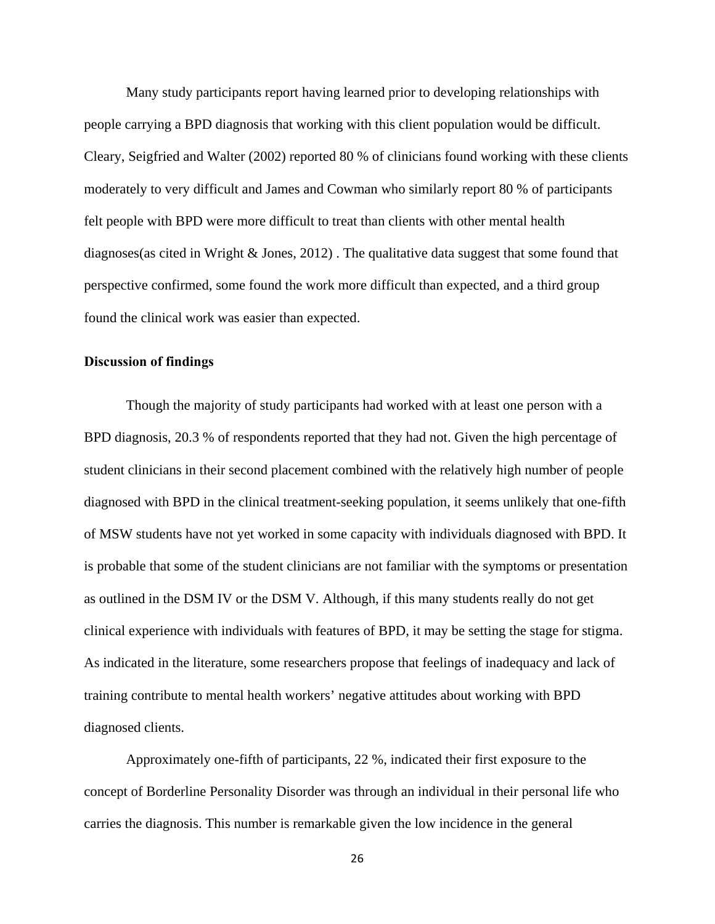Many study participants report having learned prior to developing relationships with people carrying a BPD diagnosis that working with this client population would be difficult. Cleary, Seigfried and Walter (2002) reported 80 % of clinicians found working with these clients moderately to very difficult and James and Cowman who similarly report 80 % of participants felt people with BPD were more difficult to treat than clients with other mental health diagnoses(as cited in Wright & Jones, 2012) . The qualitative data suggest that some found that perspective confirmed, some found the work more difficult than expected, and a third group found the clinical work was easier than expected.

#### **Discussion of findings**

Though the majority of study participants had worked with at least one person with a BPD diagnosis, 20.3 % of respondents reported that they had not. Given the high percentage of student clinicians in their second placement combined with the relatively high number of people diagnosed with BPD in the clinical treatment-seeking population, it seems unlikely that one-fifth of MSW students have not yet worked in some capacity with individuals diagnosed with BPD. It is probable that some of the student clinicians are not familiar with the symptoms or presentation as outlined in the DSM IV or the DSM V. Although, if this many students really do not get clinical experience with individuals with features of BPD, it may be setting the stage for stigma. As indicated in the literature, some researchers propose that feelings of inadequacy and lack of training contribute to mental health workers' negative attitudes about working with BPD diagnosed clients.

Approximately one-fifth of participants, 22 %, indicated their first exposure to the concept of Borderline Personality Disorder was through an individual in their personal life who carries the diagnosis. This number is remarkable given the low incidence in the general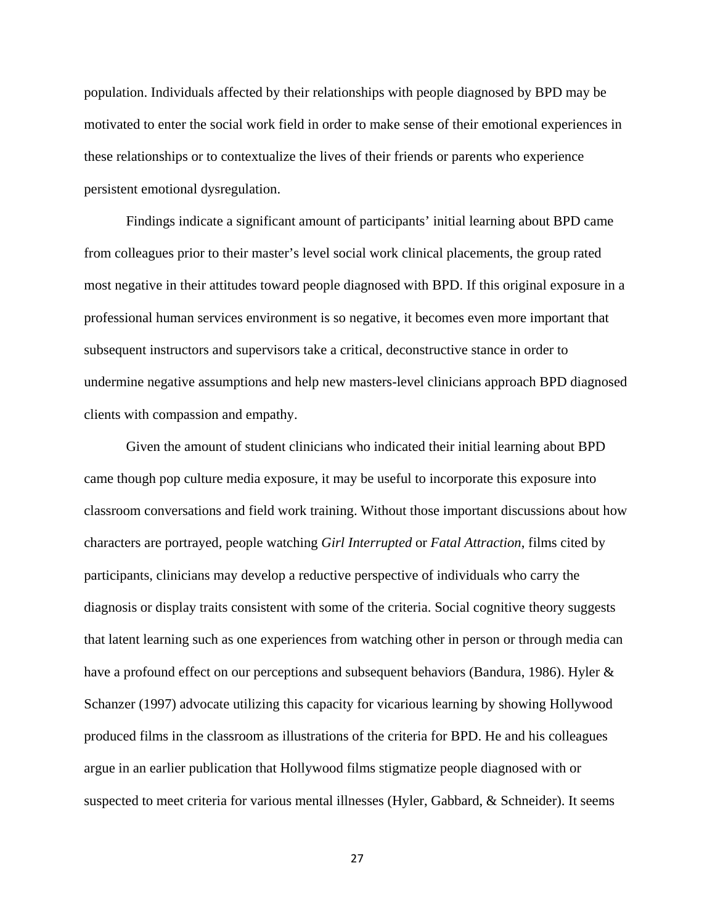population. Individuals affected by their relationships with people diagnosed by BPD may be motivated to enter the social work field in order to make sense of their emotional experiences in these relationships or to contextualize the lives of their friends or parents who experience persistent emotional dysregulation.

Findings indicate a significant amount of participants' initial learning about BPD came from colleagues prior to their master's level social work clinical placements, the group rated most negative in their attitudes toward people diagnosed with BPD. If this original exposure in a professional human services environment is so negative, it becomes even more important that subsequent instructors and supervisors take a critical, deconstructive stance in order to undermine negative assumptions and help new masters-level clinicians approach BPD diagnosed clients with compassion and empathy.

Given the amount of student clinicians who indicated their initial learning about BPD came though pop culture media exposure, it may be useful to incorporate this exposure into classroom conversations and field work training. Without those important discussions about how characters are portrayed, people watching *Girl Interrupted* or *Fatal Attraction*, films cited by participants, clinicians may develop a reductive perspective of individuals who carry the diagnosis or display traits consistent with some of the criteria. Social cognitive theory suggests that latent learning such as one experiences from watching other in person or through media can have a profound effect on our perceptions and subsequent behaviors (Bandura, 1986). Hyler & Schanzer (1997) advocate utilizing this capacity for vicarious learning by showing Hollywood produced films in the classroom as illustrations of the criteria for BPD. He and his colleagues argue in an earlier publication that Hollywood films stigmatize people diagnosed with or suspected to meet criteria for various mental illnesses (Hyler, Gabbard, & Schneider). It seems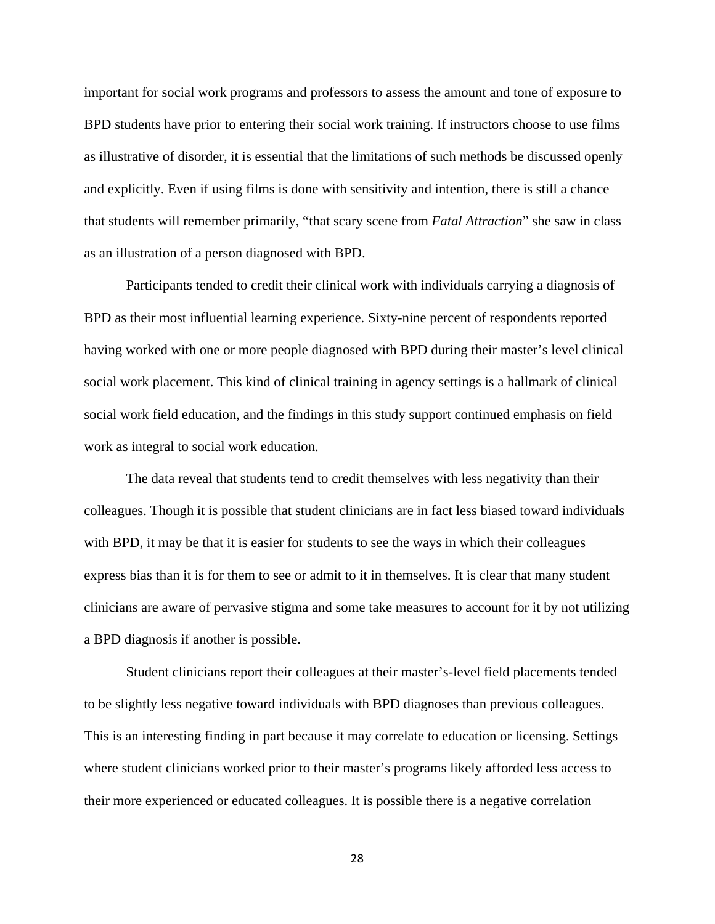important for social work programs and professors to assess the amount and tone of exposure to BPD students have prior to entering their social work training. If instructors choose to use films as illustrative of disorder, it is essential that the limitations of such methods be discussed openly and explicitly. Even if using films is done with sensitivity and intention, there is still a chance that students will remember primarily, "that scary scene from *Fatal Attraction*" she saw in class as an illustration of a person diagnosed with BPD.

Participants tended to credit their clinical work with individuals carrying a diagnosis of BPD as their most influential learning experience. Sixty-nine percent of respondents reported having worked with one or more people diagnosed with BPD during their master's level clinical social work placement. This kind of clinical training in agency settings is a hallmark of clinical social work field education, and the findings in this study support continued emphasis on field work as integral to social work education.

The data reveal that students tend to credit themselves with less negativity than their colleagues. Though it is possible that student clinicians are in fact less biased toward individuals with BPD, it may be that it is easier for students to see the ways in which their colleagues express bias than it is for them to see or admit to it in themselves. It is clear that many student clinicians are aware of pervasive stigma and some take measures to account for it by not utilizing a BPD diagnosis if another is possible.

Student clinicians report their colleagues at their master's-level field placements tended to be slightly less negative toward individuals with BPD diagnoses than previous colleagues. This is an interesting finding in part because it may correlate to education or licensing. Settings where student clinicians worked prior to their master's programs likely afforded less access to their more experienced or educated colleagues. It is possible there is a negative correlation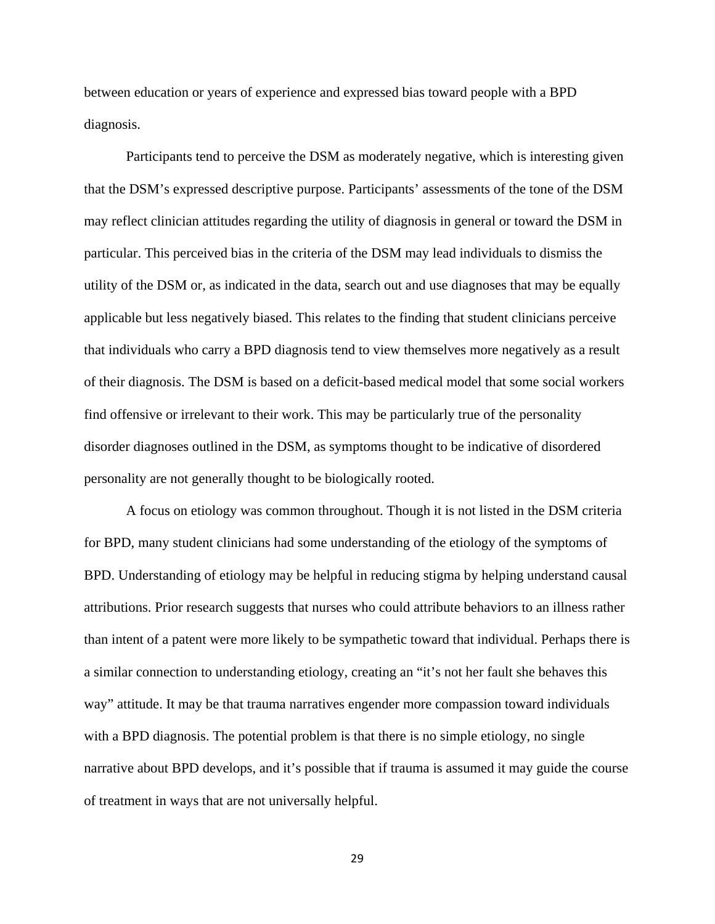between education or years of experience and expressed bias toward people with a BPD diagnosis.

Participants tend to perceive the DSM as moderately negative, which is interesting given that the DSM's expressed descriptive purpose. Participants' assessments of the tone of the DSM may reflect clinician attitudes regarding the utility of diagnosis in general or toward the DSM in particular. This perceived bias in the criteria of the DSM may lead individuals to dismiss the utility of the DSM or, as indicated in the data, search out and use diagnoses that may be equally applicable but less negatively biased. This relates to the finding that student clinicians perceive that individuals who carry a BPD diagnosis tend to view themselves more negatively as a result of their diagnosis. The DSM is based on a deficit-based medical model that some social workers find offensive or irrelevant to their work. This may be particularly true of the personality disorder diagnoses outlined in the DSM, as symptoms thought to be indicative of disordered personality are not generally thought to be biologically rooted.

A focus on etiology was common throughout. Though it is not listed in the DSM criteria for BPD, many student clinicians had some understanding of the etiology of the symptoms of BPD. Understanding of etiology may be helpful in reducing stigma by helping understand causal attributions. Prior research suggests that nurses who could attribute behaviors to an illness rather than intent of a patent were more likely to be sympathetic toward that individual. Perhaps there is a similar connection to understanding etiology, creating an "it's not her fault she behaves this way" attitude. It may be that trauma narratives engender more compassion toward individuals with a BPD diagnosis. The potential problem is that there is no simple etiology, no single narrative about BPD develops, and it's possible that if trauma is assumed it may guide the course of treatment in ways that are not universally helpful.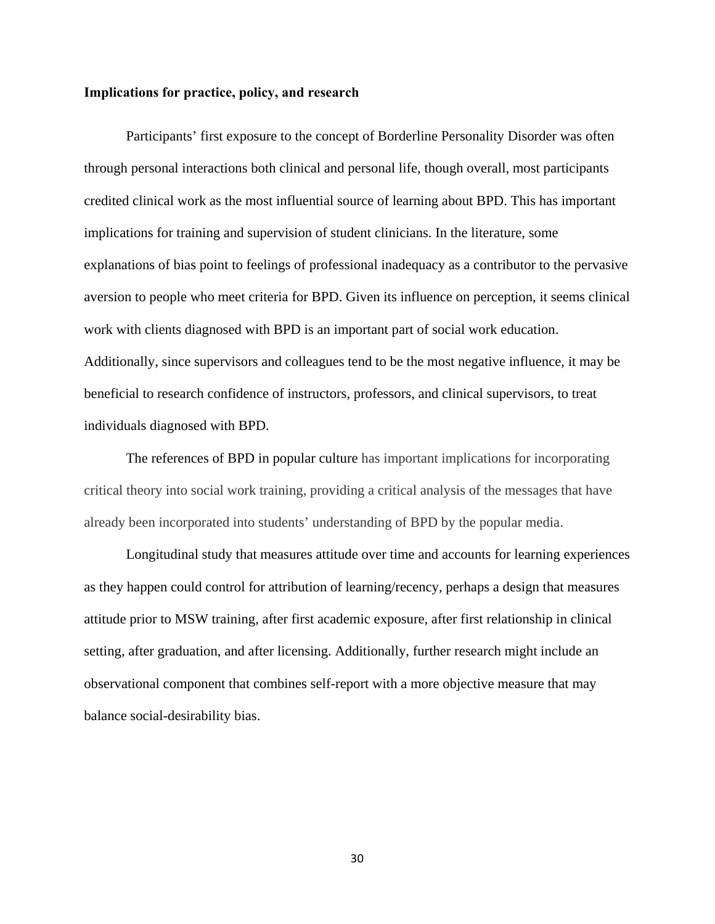#### **Implications for practice, policy, and research**

Participants' first exposure to the concept of Borderline Personality Disorder was often through personal interactions both clinical and personal life, though overall, most participants credited clinical work as the most influential source of learning about BPD. This has important implications for training and supervision of student clinicians. In the literature, some explanations of bias point to feelings of professional inadequacy as a contributor to the pervasive aversion to people who meet criteria for BPD. Given its influence on perception, it seems clinical work with clients diagnosed with BPD is an important part of social work education. Additionally, since supervisors and colleagues tend to be the most negative influence, it may be beneficial to research confidence of instructors, professors, and clinical supervisors, to treat individuals diagnosed with BPD.

The references of BPD in popular culture has important implications for incorporating critical theory into social work training, providing a critical analysis of the messages that have already been incorporated into students' understanding of BPD by the popular media.

Longitudinal study that measures attitude over time and accounts for learning experiences as they happen could control for attribution of learning/recency, perhaps a design that measures attitude prior to MSW training, after first academic exposure, after first relationship in clinical setting, after graduation, and after licensing. Additionally, further research might include an observational component that combines self-report with a more objective measure that may balance social-desirability bias.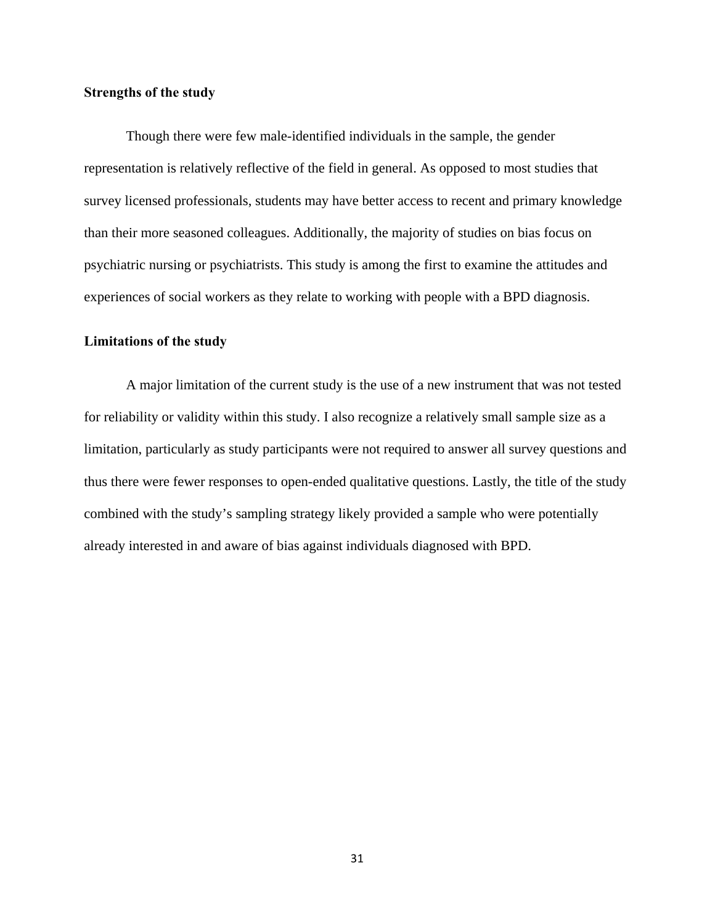#### **Strengths of the study**

Though there were few male-identified individuals in the sample, the gender representation is relatively reflective of the field in general. As opposed to most studies that survey licensed professionals, students may have better access to recent and primary knowledge than their more seasoned colleagues. Additionally, the majority of studies on bias focus on psychiatric nursing or psychiatrists. This study is among the first to examine the attitudes and experiences of social workers as they relate to working with people with a BPD diagnosis.

#### **Limitations of the study**

A major limitation of the current study is the use of a new instrument that was not tested for reliability or validity within this study. I also recognize a relatively small sample size as a limitation, particularly as study participants were not required to answer all survey questions and thus there were fewer responses to open-ended qualitative questions. Lastly, the title of the study combined with the study's sampling strategy likely provided a sample who were potentially already interested in and aware of bias against individuals diagnosed with BPD.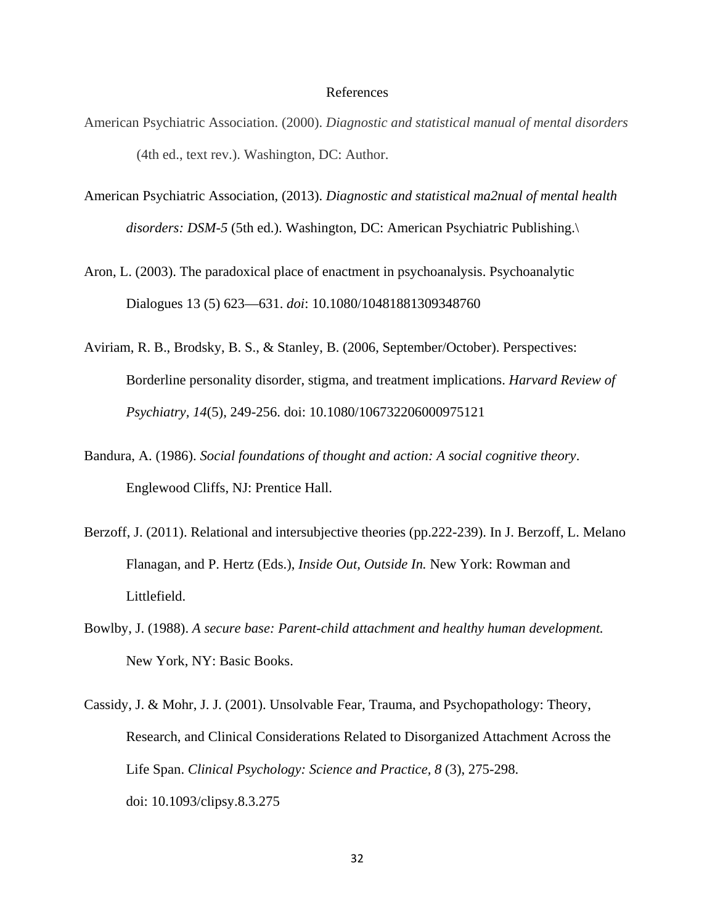#### References

- American Psychiatric Association. (2000). *Diagnostic and statistical manual of mental disorders* (4th ed., text rev.). Washington, DC: Author.
- American Psychiatric Association, (2013). *Diagnostic and statistical ma2nual of mental health disorders: DSM-5* (5th ed.). Washington, DC: American Psychiatric Publishing.\
- Aron, L. (2003). The paradoxical place of enactment in psychoanalysis. Psychoanalytic Dialogues 13 (5) 623—631. *doi*: 10.1080/10481881309348760
- Aviriam, R. B., Brodsky, B. S., & Stanley, B. (2006, September/October). Perspectives: Borderline personality disorder, stigma, and treatment implications. *Harvard Review of Psychiatry, 14*(5), 249-256. doi: 10.1080/106732206000975121
- Bandura, A. (1986). *Social foundations of thought and action: A social cognitive theory*. Englewood Cliffs, NJ: Prentice Hall.
- Berzoff, J. (2011). Relational and intersubjective theories (pp.222-239). In J. Berzoff, L. Melano Flanagan, and P. Hertz (Eds.), *Inside Out, Outside In.* New York: Rowman and Littlefield.
- Bowlby, J. (1988). *A secure base: Parent-child attachment and healthy human development.* New York, NY: Basic Books.
- Cassidy, J. & Mohr, J. J. (2001). Unsolvable Fear, Trauma, and Psychopathology: Theory, Research, and Clinical Considerations Related to Disorganized Attachment Across the Life Span. *Clinical Psychology: Science and Practice, 8* (3), 275-298. doi: 10.1093/clipsy.8.3.275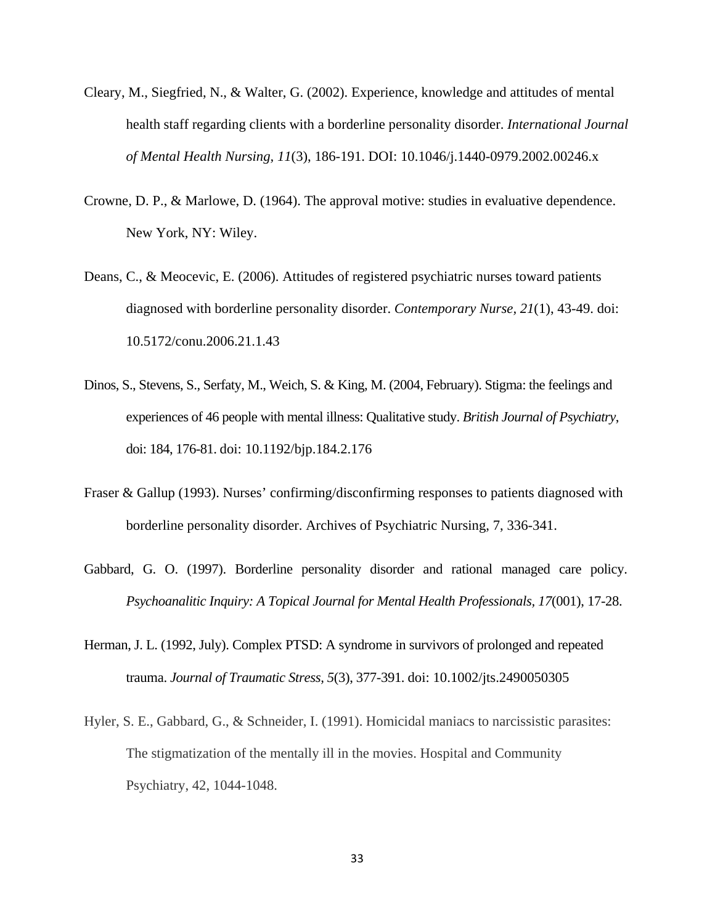- Cleary, M., Siegfried, N., & Walter, G. (2002). Experience, knowledge and attitudes of mental health staff regarding clients with a borderline personality disorder. *International Journal of Mental Health Nursing, 11*(3), 186-191. DOI: 10.1046/j.1440-0979.2002.00246.x
- Crowne, D. P., & Marlowe, D. (1964). The approval motive: studies in evaluative dependence. New York, NY: Wiley.
- Deans, C., & Meocevic, E. (2006). Attitudes of registered psychiatric nurses toward patients diagnosed with borderline personality disorder. *Contemporary Nurse, 21*(1), 43-49. doi: 10.5172/conu.2006.21.1.43
- Dinos, S., Stevens, S., Serfaty, M., Weich, S. & King, M. (2004, February). Stigma: the feelings and experiences of 46 people with mental illness: Qualitative study. *British Journal of Psychiatry*, doi: 184, 176-81. doi: 10.1192/bjp.184.2.176
- Fraser & Gallup (1993). Nurses' confirming/disconfirming responses to patients diagnosed with borderline personality disorder. Archives of Psychiatric Nursing, 7, 336-341.
- Gabbard, G. O. (1997). Borderline personality disorder and rational managed care policy. *Psychoanalitic Inquiry: A Topical Journal for Mental Health Professionals, 17*(001), 17-28.
- Herman, J. L. (1992, July). Complex PTSD: A syndrome in survivors of prolonged and repeated trauma. *Journal of Traumatic Stress, 5*(3), 377-391. doi: 10.1002/jts.2490050305
- Hyler, S. E., Gabbard, G., & Schneider, I. (1991). Homicidal maniacs to narcissistic parasites: The stigmatization of the mentally ill in the movies. Hospital and Community Psychiatry, 42, 1044-1048.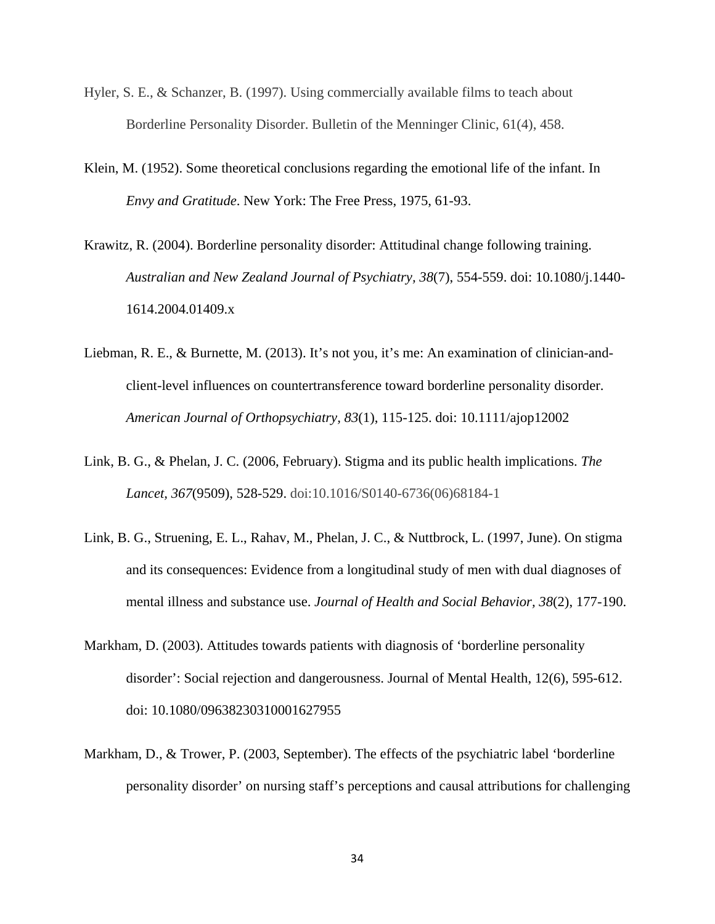- Hyler, S. E., & Schanzer, B. (1997). Using commercially available films to teach about Borderline Personality Disorder. Bulletin of the Menninger Clinic, 61(4), 458.
- Klein, M. (1952). Some theoretical conclusions regarding the emotional life of the infant. In *Envy and Gratitude*. New York: The Free Press, 1975, 61-93.
- Krawitz, R. (2004). Borderline personality disorder: Attitudinal change following training. *Australian and New Zealand Journal of Psychiatry, 38*(7), 554-559. doi: 10.1080/j.1440- 1614.2004.01409.x
- Liebman, R. E., & Burnette, M. (2013). It's not you, it's me: An examination of clinician-andclient-level influences on countertransference toward borderline personality disorder. *American Journal of Orthopsychiatry, 83*(1), 115-125. doi: 10.1111/ajop12002
- Link, B. G., & Phelan, J. C. (2006, February). Stigma and its public health implications. *The Lancet, 367*(9509), 528-529. doi:10.1016/S0140-6736(06)68184-1
- Link, B. G., Struening, E. L., Rahav, M., Phelan, J. C., & Nuttbrock, L. (1997, June). On stigma and its consequences: Evidence from a longitudinal study of men with dual diagnoses of mental illness and substance use. *Journal of Health and Social Behavior, 38*(2), 177-190.
- Markham, D. (2003). Attitudes towards patients with diagnosis of 'borderline personality disorder': Social rejection and dangerousness. Journal of Mental Health, 12(6), 595-612. doi: 10.1080/09638230310001627955
- Markham, D., & Trower, P. (2003, September). The effects of the psychiatric label 'borderline personality disorder' on nursing staff's perceptions and causal attributions for challenging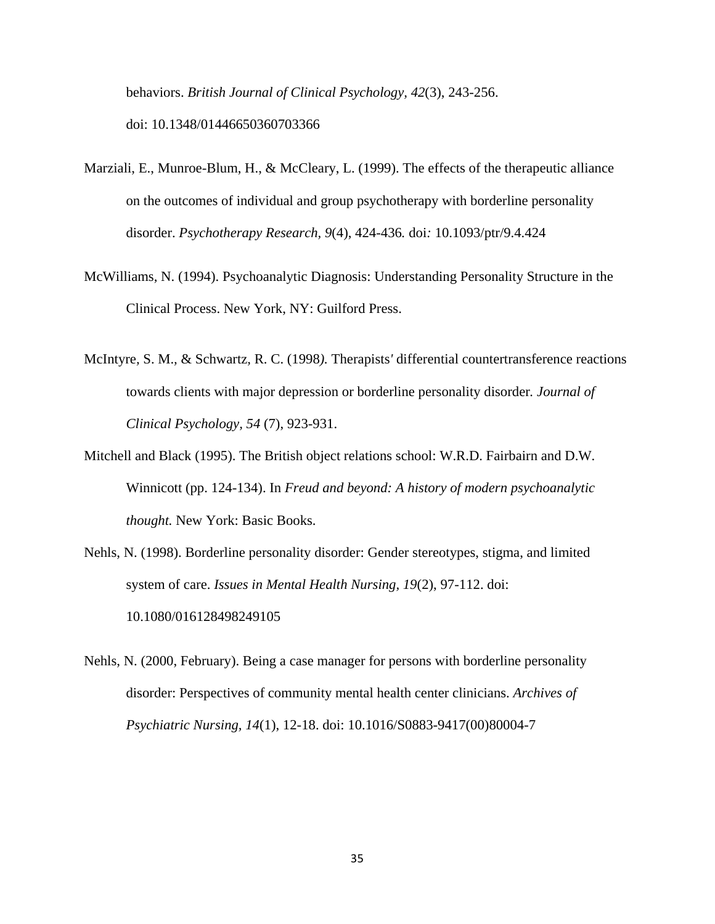behaviors. *British Journal of Clinical Psychology, 42*(3), 243-256. doi: 10.1348/01446650360703366

- Marziali, E., Munroe-Blum, H., & McCleary, L. (1999). The effects of the therapeutic alliance on the outcomes of individual and group psychotherapy with borderline personality disorder. *Psychotherapy Research, 9*(4), 424-436*.* doi*:* 10.1093/ptr/9.4.424
- McWilliams, N. (1994). Psychoanalytic Diagnosis: Understanding Personality Structure in the Clinical Process. New York, NY: Guilford Press.
- McIntyre*,* S. M.*,* & Schwartz*,* R. C. (1998*).* Therapists*'* differential countertransference reactions towards clients with major depression or borderline personality disorder*. Journal of Clinical Psychology, 54* (7), 923-931.
- Mitchell and Black (1995). The British object relations school: W.R.D. Fairbairn and D.W. Winnicott (pp. 124-134). In *Freud and beyond: A history of modern psychoanalytic thought.* New York: Basic Books.
- Nehls, N. (1998). Borderline personality disorder: Gender stereotypes, stigma, and limited system of care. *Issues in Mental Health Nursing, 19*(2), 97-112. doi: 10.1080/016128498249105
- Nehls, N. (2000, February). Being a case manager for persons with borderline personality disorder: Perspectives of community mental health center clinicians. *Archives of Psychiatric Nursing, 14*(1), 12-18. doi: 10.1016/S0883-9417(00)80004-7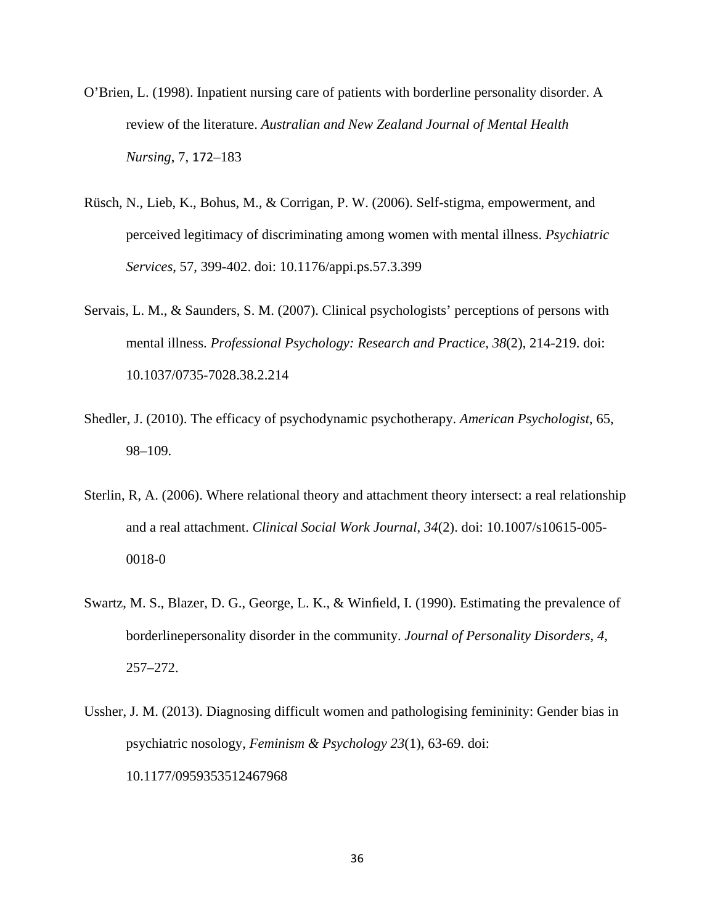- O'Brien, L. (1998). Inpatient nursing care of patients with borderline personality disorder. A review of the literature. *Australian and New Zealand Journal of Mental Health Nursing*, 7, 172–183
- Rüsch, N., Lieb, K., Bohus, M., & Corrigan, P. W. (2006). Self-stigma, empowerment, and perceived legitimacy of discriminating among women with mental illness. *Psychiatric Services*, 57, 399-402. doi: 10.1176/appi.ps.57.3.399
- Servais, L. M., & Saunders, S. M. (2007). Clinical psychologists' perceptions of persons with mental illness. *Professional Psychology: Research and Practice, 38*(2), 214-219. doi: 10.1037/0735-7028.38.2.214
- Shedler, J. (2010). The efficacy of psychodynamic psychotherapy. *American Psychologist*, 65, 98–109.
- Sterlin, R, A. (2006). Where relational theory and attachment theory intersect: a real relationship and a real attachment. *Clinical Social Work Journal*, *34*(2). doi: 10.1007/s10615-005- 0018-0
- Swartz, M. S., Blazer, D. G., George, L. K., & Winfield, I. (1990). Estimating the prevalence of borderlinepersonality disorder in the community. *Journal of Personality Disorders*, *4*, 257–272.
- Ussher, J. M. (2013). Diagnosing difficult women and pathologising femininity: Gender bias in psychiatric nosology, *Feminism & Psychology 23*(1), 63-69. doi: 10.1177/0959353512467968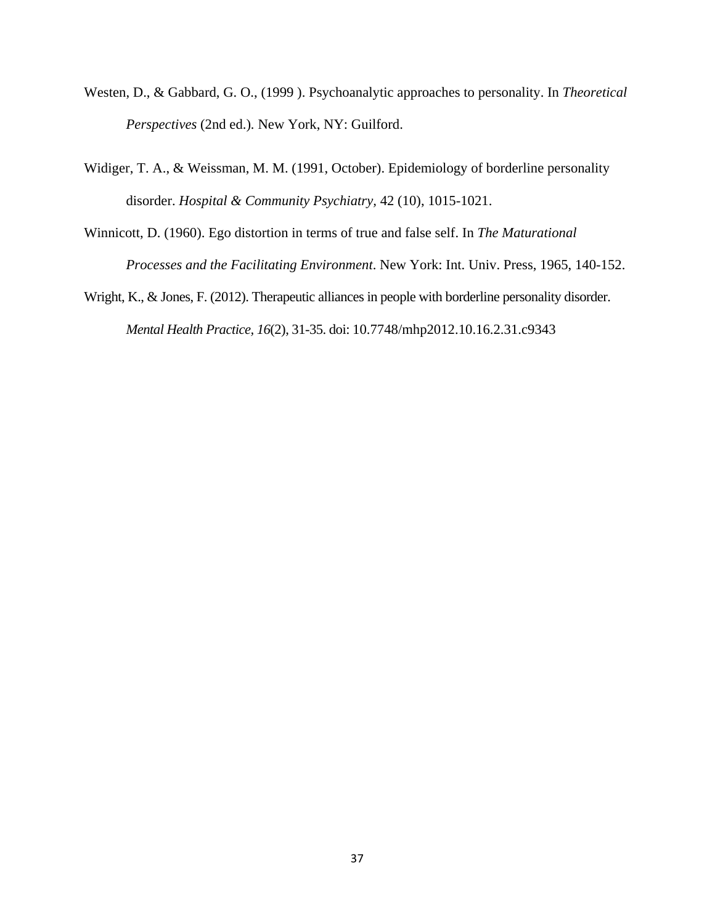- Westen, D., & Gabbard, G. O., (1999 ). Psychoanalytic approaches to personality. In *Theoretical Perspectives* (2nd ed.)*.* New York, NY: Guilford.
- Widiger, T. A., & Weissman, M. M. (1991, October). Epidemiology of borderline personality disorder. *Hospital & Community Psychiatry,* 42 (10), 1015-1021.
- Winnicott, D. (1960). Ego distortion in terms of true and false self. In *The Maturational Processes and the Facilitating Environment*. New York: Int. Univ. Press, 1965, 140-152.
- Wright, K., & Jones, F. (2012). Therapeutic alliances in people with borderline personality disorder. *Mental Health Practice, 16*(2), 31-35. doi: 10.7748/mhp2012.10.16.2.31.c9343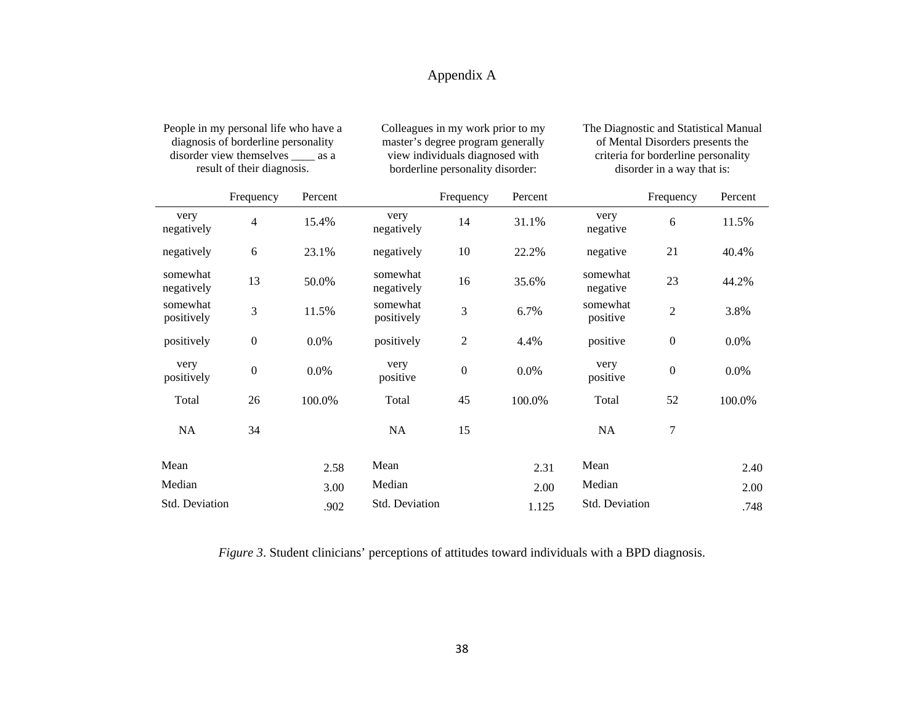# Appendix A

| People in my personal life who have a<br>diagnosis of borderline personality<br>disorder view themselves _____ as a<br>result of their diagnosis. |                  | Colleagues in my work prior to my<br>master's degree program generally<br>view individuals diagnosed with<br>borderline personality disorder: |                        |                  | The Diagnostic and Statistical Manual<br>of Mental Disorders presents the<br>criteria for borderline personality<br>disorder in a way that is: |                      |                  |         |
|---------------------------------------------------------------------------------------------------------------------------------------------------|------------------|-----------------------------------------------------------------------------------------------------------------------------------------------|------------------------|------------------|------------------------------------------------------------------------------------------------------------------------------------------------|----------------------|------------------|---------|
|                                                                                                                                                   | Frequency        | Percent                                                                                                                                       |                        | Frequency        | Percent                                                                                                                                        |                      | Frequency        | Percent |
| very<br>negatively                                                                                                                                | 4                | 15.4%                                                                                                                                         | very<br>negatively     | 14               | 31.1%                                                                                                                                          | very<br>negative     | 6                | 11.5%   |
| negatively                                                                                                                                        | 6                | 23.1%                                                                                                                                         | negatively             | 10               | 22.2%                                                                                                                                          | negative             | 21               | 40.4%   |
| somewhat<br>negatively                                                                                                                            | 13               | 50.0%                                                                                                                                         | somewhat<br>negatively | 16               | 35.6%                                                                                                                                          | somewhat<br>negative | 23               | 44.2%   |
| somewhat<br>positively                                                                                                                            | 3                | 11.5%                                                                                                                                         | somewhat<br>positively | 3                | 6.7%                                                                                                                                           | somewhat<br>positive | $\sqrt{2}$       | 3.8%    |
| positively                                                                                                                                        | $\boldsymbol{0}$ | 0.0%                                                                                                                                          | positively             | $\mathfrak{2}$   | 4.4%                                                                                                                                           | positive             | $\boldsymbol{0}$ | 0.0%    |
| very<br>positively                                                                                                                                | $\boldsymbol{0}$ | 0.0%                                                                                                                                          | very<br>positive       | $\boldsymbol{0}$ | 0.0%                                                                                                                                           | very<br>positive     | $\boldsymbol{0}$ | 0.0%    |
| Total                                                                                                                                             | 26               | 100.0%                                                                                                                                        | Total                  | 45               | 100.0%                                                                                                                                         | Total                | 52               | 100.0%  |
| <b>NA</b>                                                                                                                                         | 34               |                                                                                                                                               | NA                     | 15               |                                                                                                                                                | NA                   | $\tau$           |         |
| Mean                                                                                                                                              |                  | 2.58                                                                                                                                          | Mean                   |                  | 2.31                                                                                                                                           | Mean                 |                  | 2.40    |
| Median                                                                                                                                            |                  | 3.00                                                                                                                                          | Median                 |                  | 2.00                                                                                                                                           | Median               |                  | 2.00    |
| Std. Deviation                                                                                                                                    |                  | .902                                                                                                                                          | Std. Deviation         |                  | 1.125                                                                                                                                          | Std. Deviation       |                  | .748    |

*Figure 3*. Student clinicians' perceptions of attitudes toward individuals with a BPD diagnosis.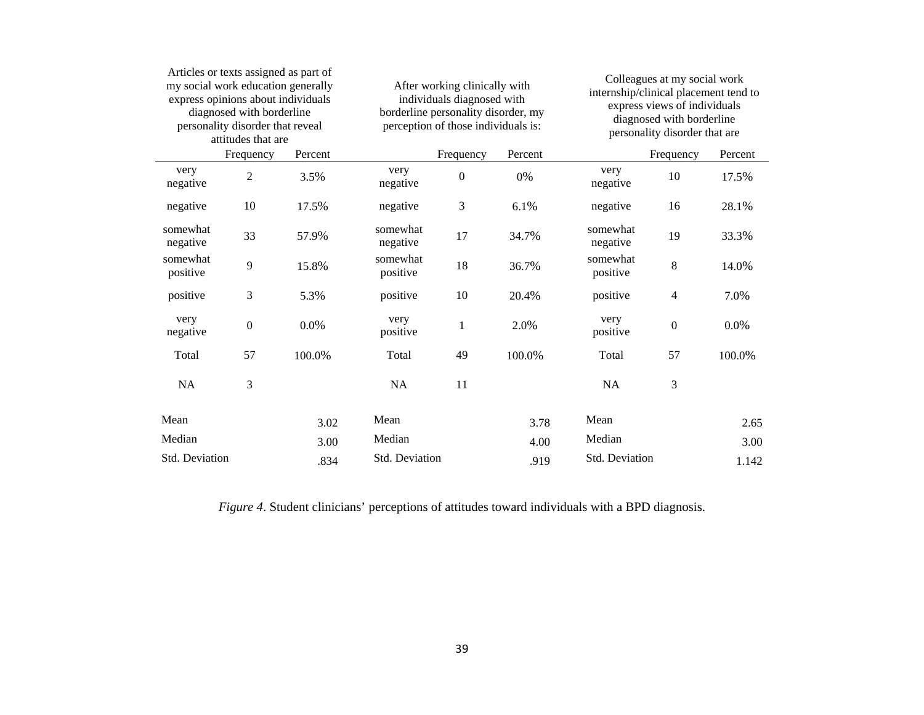|                      | Articles or texts assigned as part of<br>my social work education generally<br>express opinions about individuals<br>diagnosed with borderline<br>personality disorder that reveal<br>attitudes that are |         |                      | After working clinically with<br>individuals diagnosed with<br>borderline personality disorder, my<br>perception of those individuals is: |         |                      | Colleagues at my social work<br>internship/clinical placement tend to<br>express views of individuals<br>diagnosed with borderline<br>personality disorder that are |         |
|----------------------|----------------------------------------------------------------------------------------------------------------------------------------------------------------------------------------------------------|---------|----------------------|-------------------------------------------------------------------------------------------------------------------------------------------|---------|----------------------|---------------------------------------------------------------------------------------------------------------------------------------------------------------------|---------|
|                      | Frequency                                                                                                                                                                                                | Percent |                      | Frequency                                                                                                                                 | Percent |                      | Frequency                                                                                                                                                           | Percent |
| very<br>negative     | $\overline{2}$                                                                                                                                                                                           | 3.5%    | very<br>negative     | $\boldsymbol{0}$                                                                                                                          | 0%      | very<br>negative     | 10                                                                                                                                                                  | 17.5%   |
| negative             | 10                                                                                                                                                                                                       | 17.5%   | negative             | 3                                                                                                                                         | 6.1%    | negative             | 16                                                                                                                                                                  | 28.1%   |
| somewhat<br>negative | 33                                                                                                                                                                                                       | 57.9%   | somewhat<br>negative | 17                                                                                                                                        | 34.7%   | somewhat<br>negative | 19                                                                                                                                                                  | 33.3%   |
| somewhat<br>positive | 9                                                                                                                                                                                                        | 15.8%   | somewhat<br>positive | 18                                                                                                                                        | 36.7%   | somewhat<br>positive | $\,8\,$                                                                                                                                                             | 14.0%   |
| positive             | 3                                                                                                                                                                                                        | 5.3%    | positive             | 10                                                                                                                                        | 20.4%   | positive             | $\overline{4}$                                                                                                                                                      | 7.0%    |
| very<br>negative     | $\boldsymbol{0}$                                                                                                                                                                                         | 0.0%    | very<br>positive     | $\mathbf{1}$                                                                                                                              | 2.0%    | very<br>positive     | $\boldsymbol{0}$                                                                                                                                                    | 0.0%    |
| Total                | 57                                                                                                                                                                                                       | 100.0%  | Total                | 49                                                                                                                                        | 100.0%  | Total                | 57                                                                                                                                                                  | 100.0%  |
| <b>NA</b>            | 3                                                                                                                                                                                                        |         | <b>NA</b>            | 11                                                                                                                                        |         | <b>NA</b>            | 3                                                                                                                                                                   |         |
| Mean                 |                                                                                                                                                                                                          | 3.02    | Mean                 |                                                                                                                                           | 3.78    | Mean                 |                                                                                                                                                                     | 2.65    |
| Median               |                                                                                                                                                                                                          | 3.00    | Median               |                                                                                                                                           | 4.00    | Median               |                                                                                                                                                                     | 3.00    |
| Std. Deviation       |                                                                                                                                                                                                          | .834    | Std. Deviation       |                                                                                                                                           | .919    | Std. Deviation       |                                                                                                                                                                     | 1.142   |

*Figure 4*. Student clinicians' perceptions of attitudes toward individuals with a BPD diagnosis.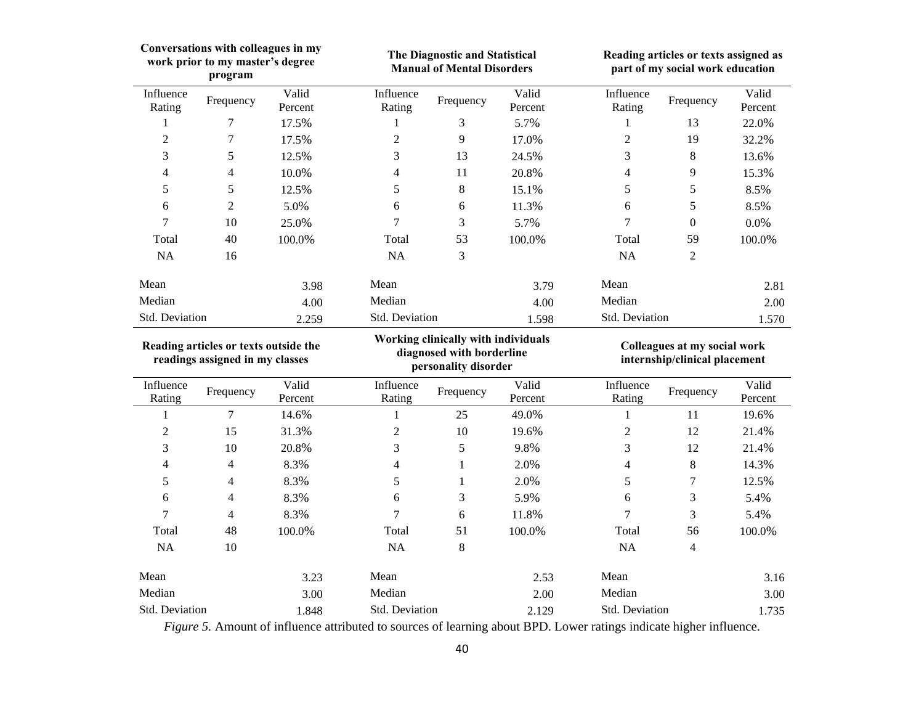| Conversations with colleagues in my<br>work prior to my master's degree<br>program |                          | The Diagnostic and Statistical<br><b>Manual of Mental Disorders</b>                      |                     |              | Reading articles or texts assigned as<br>part of my social work education |                     |                  |                  |
|------------------------------------------------------------------------------------|--------------------------|------------------------------------------------------------------------------------------|---------------------|--------------|---------------------------------------------------------------------------|---------------------|------------------|------------------|
| Influence<br>Rating                                                                | Frequency                | Valid<br>Percent                                                                         | Influence<br>Rating | Frequency    | Valid<br>Percent                                                          | Influence<br>Rating | Frequency        | Valid<br>Percent |
| 1                                                                                  | 7                        | 17.5%                                                                                    | 1                   | 3            | 5.7%                                                                      | 1                   | 13               | 22.0%            |
| $\overline{2}$                                                                     | $\overline{7}$           | 17.5%                                                                                    | $\overline{c}$      | 9            | 17.0%                                                                     | $\overline{c}$      | 19               | 32.2%            |
| 3                                                                                  | 5                        | 12.5%                                                                                    | 3                   | 13           | 24.5%                                                                     | 3                   | $\,8\,$          | 13.6%            |
| 4                                                                                  | $\overline{\mathcal{L}}$ | 10.0%                                                                                    | 4                   | 11           | 20.8%                                                                     | 4                   | $\overline{9}$   | 15.3%            |
| 5                                                                                  | 5                        | 12.5%                                                                                    | 5                   | $\,8\,$      | 15.1%                                                                     | 5                   | 5                | 8.5%             |
| 6                                                                                  | $\mathbf{2}$             | 5.0%                                                                                     | 6                   | 6            | 11.3%                                                                     | 6                   | 5                | 8.5%             |
| 7                                                                                  | 10                       | 25.0%                                                                                    | 7                   | 3            | 5.7%                                                                      | 7                   | $\boldsymbol{0}$ | $0.0\%$          |
| Total                                                                              | 40                       | 100.0%                                                                                   | Total               | 53           | 100.0%                                                                    | Total               | 59               | 100.0%           |
| <b>NA</b>                                                                          | 16                       |                                                                                          | NA                  | 3            |                                                                           | <b>NA</b>           | $\overline{2}$   |                  |
| Mean                                                                               |                          | 3.98                                                                                     | Mean                |              | 3.79                                                                      | Mean                |                  | 2.81             |
| Median                                                                             |                          | 4.00                                                                                     | Median              |              | 4.00                                                                      | Median              |                  | 2.00             |
| Std. Deviation                                                                     |                          | 2.259                                                                                    | Std. Deviation      |              | 1.598                                                                     | Std. Deviation      |                  | 1.570            |
| Reading articles or texts outside the<br>readings assigned in my classes           |                          | Working clinically with individuals<br>diagnosed with borderline<br>personality disorder |                     |              | Colleagues at my social work<br>internship/clinical placement             |                     |                  |                  |
|                                                                                    |                          |                                                                                          |                     |              |                                                                           |                     |                  |                  |
| Influence<br>Rating                                                                | Frequency                | Valid<br>Percent                                                                         | Influence<br>Rating | Frequency    | Valid<br>Percent                                                          | Influence<br>Rating | Frequency        | Valid<br>Percent |
| 1                                                                                  | $\tau$                   | 14.6%                                                                                    | 1                   | 25           | 49.0%                                                                     | 1                   | 11               | 19.6%            |
| $\overline{c}$                                                                     | 15                       | 31.3%                                                                                    | $\overline{c}$      | 10           | 19.6%                                                                     | 2                   | 12               | 21.4%            |
| 3                                                                                  | 10                       | 20.8%                                                                                    | 3                   | 5            | 9.8%                                                                      | 3                   | 12               | 21.4%            |
| 4                                                                                  | 4                        | 8.3%                                                                                     | 4                   | $\mathbf{1}$ | 2.0%                                                                      | 4                   | $\,8\,$          | 14.3%            |
| 5                                                                                  | $\overline{\mathcal{L}}$ | 8.3%                                                                                     | 5                   | $\mathbf{1}$ | 2.0%                                                                      | 5                   | $\boldsymbol{7}$ | 12.5%            |
| 6                                                                                  | 4                        | 8.3%                                                                                     | 6                   | 3            | 5.9%                                                                      | 6                   | 3                | 5.4%             |
| 7                                                                                  | 4                        | 8.3%                                                                                     | 7                   | 6            | 11.8%                                                                     | 7                   | 3                | 5.4%             |
| Total                                                                              | 48                       | 100.0%                                                                                   | Total               | 51           | 100.0%                                                                    | Total               | 56               | 100.0%           |
| <b>NA</b>                                                                          | 10                       |                                                                                          | <b>NA</b>           | $\,$ 8 $\,$  |                                                                           | <b>NA</b>           | $\overline{4}$   |                  |
| Mean                                                                               |                          | 3.23                                                                                     | Mean                |              | 2.53                                                                      | Mean                |                  | 3.16             |
| Median                                                                             |                          | 3.00                                                                                     | Median              |              | 2.00                                                                      | Median              |                  | 3.00             |

*Figure 5.* Amount of influence attributed to sources of learning about BPD. Lower ratings indicate higher influence.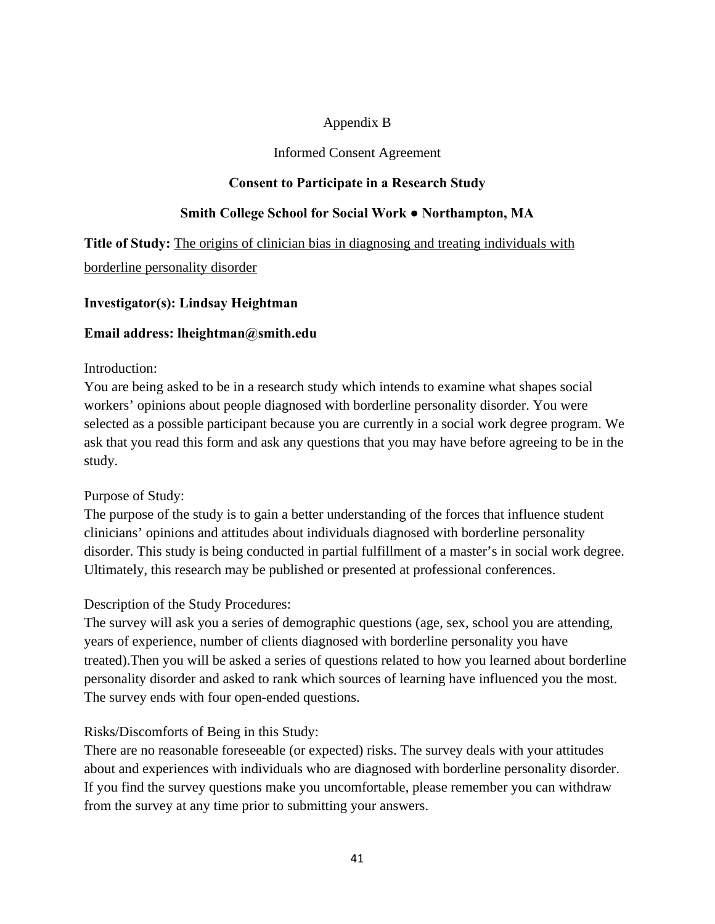# Appendix B

# Informed Consent Agreement

# **Consent to Participate in a Research Study**

# **Smith College School for Social Work ● Northampton, MA**

**Title of Study:** The origins of clinician bias in diagnosing and treating individuals with borderline personality disorder

# **Investigator(s): Lindsay Heightman**

# **Email address: lheightman@smith.edu**

### Introduction:

You are being asked to be in a research study which intends to examine what shapes social workers' opinions about people diagnosed with borderline personality disorder. You were selected as a possible participant because you are currently in a social work degree program. We ask that you read this form and ask any questions that you may have before agreeing to be in the study.

# Purpose of Study:

The purpose of the study is to gain a better understanding of the forces that influence student clinicians' opinions and attitudes about individuals diagnosed with borderline personality disorder. This study is being conducted in partial fulfillment of a master's in social work degree. Ultimately, this research may be published or presented at professional conferences.

# Description of the Study Procedures:

The survey will ask you a series of demographic questions (age, sex, school you are attending, years of experience, number of clients diagnosed with borderline personality you have treated).Then you will be asked a series of questions related to how you learned about borderline personality disorder and asked to rank which sources of learning have influenced you the most. The survey ends with four open-ended questions.

Risks/Discomforts of Being in this Study:

There are no reasonable foreseeable (or expected) risks. The survey deals with your attitudes about and experiences with individuals who are diagnosed with borderline personality disorder. If you find the survey questions make you uncomfortable, please remember you can withdraw from the survey at any time prior to submitting your answers.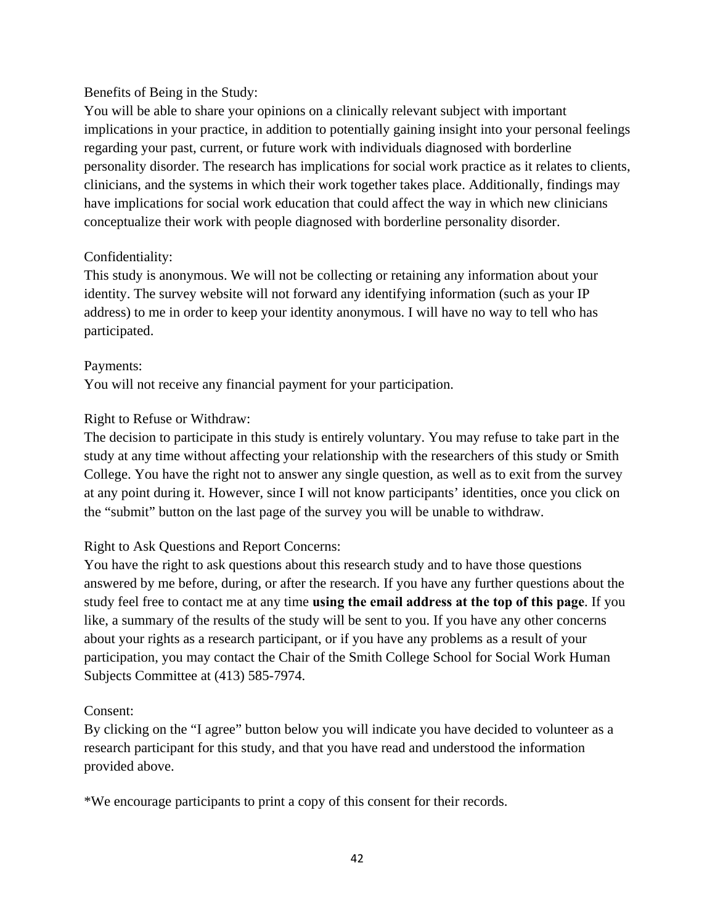# Benefits of Being in the Study:

You will be able to share your opinions on a clinically relevant subject with important implications in your practice, in addition to potentially gaining insight into your personal feelings regarding your past, current, or future work with individuals diagnosed with borderline personality disorder. The research has implications for social work practice as it relates to clients, clinicians, and the systems in which their work together takes place. Additionally, findings may have implications for social work education that could affect the way in which new clinicians conceptualize their work with people diagnosed with borderline personality disorder.

# Confidentiality:

This study is anonymous. We will not be collecting or retaining any information about your identity. The survey website will not forward any identifying information (such as your IP address) to me in order to keep your identity anonymous. I will have no way to tell who has participated.

# Payments:

You will not receive any financial payment for your participation.

# Right to Refuse or Withdraw:

The decision to participate in this study is entirely voluntary. You may refuse to take part in the study at any time without affecting your relationship with the researchers of this study or Smith College. You have the right not to answer any single question, as well as to exit from the survey at any point during it. However, since I will not know participants' identities, once you click on the "submit" button on the last page of the survey you will be unable to withdraw.

# Right to Ask Questions and Report Concerns:

You have the right to ask questions about this research study and to have those questions answered by me before, during, or after the research. If you have any further questions about the study feel free to contact me at any time **using the email address at the top of this page**. If you like, a summary of the results of the study will be sent to you. If you have any other concerns about your rights as a research participant, or if you have any problems as a result of your participation, you may contact the Chair of the Smith College School for Social Work Human Subjects Committee at (413) 585-7974.

# Consent:

By clicking on the "I agree" button below you will indicate you have decided to volunteer as a research participant for this study, and that you have read and understood the information provided above.

\*We encourage participants to print a copy of this consent for their records.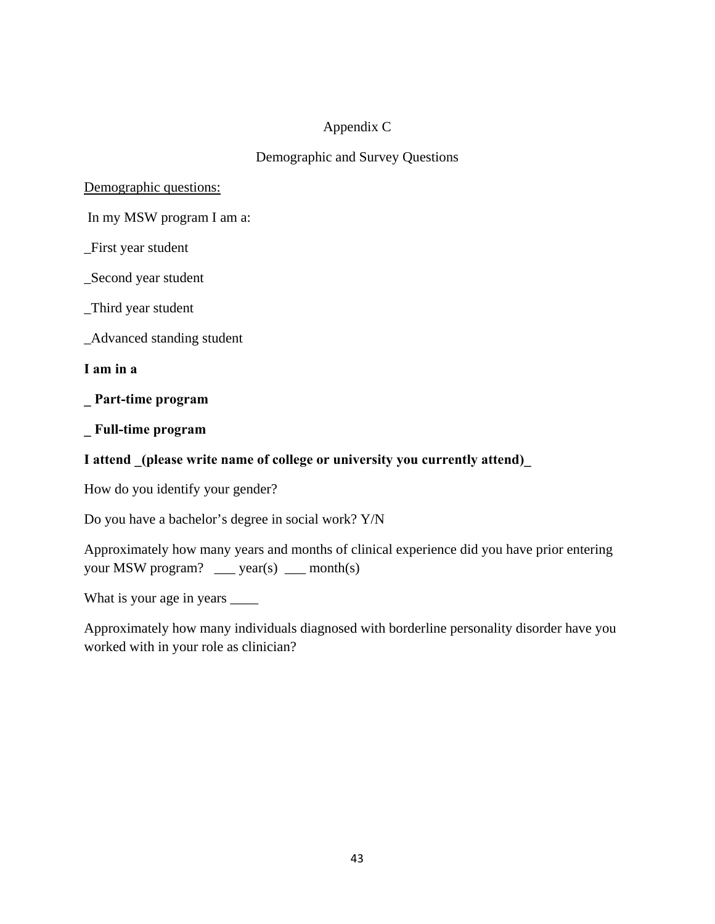# Appendix C

# Demographic and Survey Questions

# Demographic questions:

In my MSW program I am a:

\_First year student

\_Second year student

\_Third year student

\_Advanced standing student

**I am in a** 

**\_ Part-time program** 

**\_ Full-time program** 

# **I attend \_(please write name of college or university you currently attend)\_**

How do you identify your gender?

Do you have a bachelor's degree in social work? Y/N

Approximately how many years and months of clinical experience did you have prior entering your MSW program? \_\_\_ year(s) \_\_ month(s)

What is your age in years  $\frac{1}{\sqrt{1 - x^2}}$ 

Approximately how many individuals diagnosed with borderline personality disorder have you worked with in your role as clinician?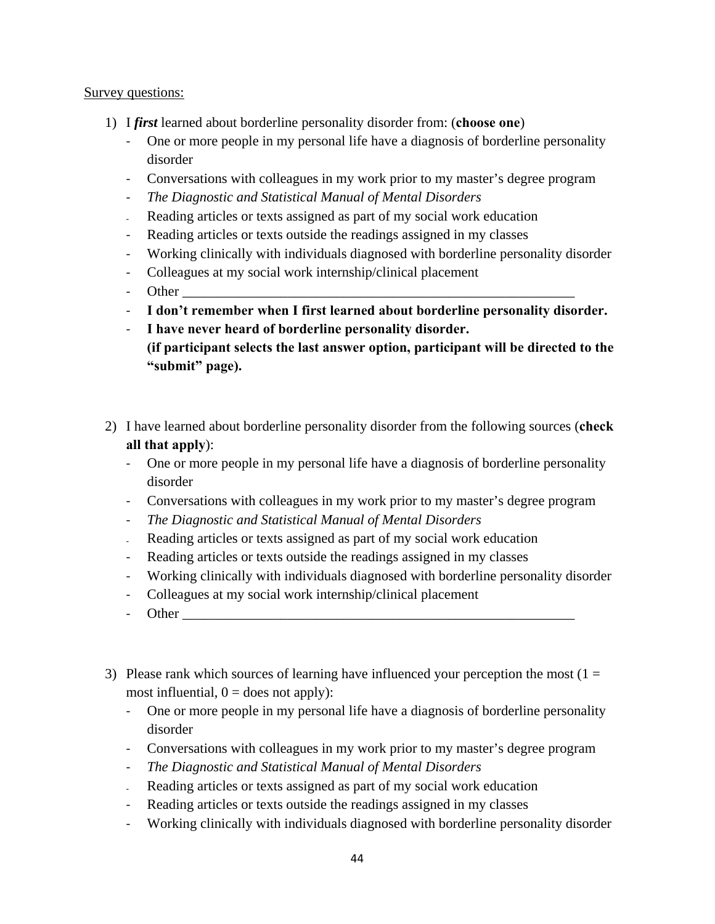# Survey questions:

- 1) I *first* learned about borderline personality disorder from: (**choose one**)
	- ‐ One or more people in my personal life have a diagnosis of borderline personality disorder
	- ‐ Conversations with colleagues in my work prior to my master's degree program
	- ‐ *The Diagnostic and Statistical Manual of Mental Disorders*
	- ‐ Reading articles or texts assigned as part of my social work education
	- ‐ Reading articles or texts outside the readings assigned in my classes
	- ‐ Working clinically with individuals diagnosed with borderline personality disorder
	- ‐ Colleagues at my social work internship/clinical placement
	- ‐ Other \_\_\_\_\_\_\_\_\_\_\_\_\_\_\_\_\_\_\_\_\_\_\_\_\_\_\_\_\_\_\_\_\_\_\_\_\_\_\_\_\_\_\_\_\_\_\_\_\_\_\_\_\_\_\_\_
	- ‐ **I don't remember when I first learned about borderline personality disorder.**
	- ‐ **I have never heard of borderline personality disorder. (if participant selects the last answer option, participant will be directed to the "submit" page).**
- 2) I have learned about borderline personality disorder from the following sources (**check all that apply**):
	- ‐ One or more people in my personal life have a diagnosis of borderline personality disorder
	- ‐ Conversations with colleagues in my work prior to my master's degree program
	- ‐ *The Diagnostic and Statistical Manual of Mental Disorders*
	- ‐ Reading articles or texts assigned as part of my social work education
	- ‐ Reading articles or texts outside the readings assigned in my classes
	- ‐ Working clinically with individuals diagnosed with borderline personality disorder
	- ‐ Colleagues at my social work internship/clinical placement
	- Other
- 3) Please rank which sources of learning have influenced your perception the most  $(1 =$ most influential,  $0 =$  does not apply):
	- ‐ One or more people in my personal life have a diagnosis of borderline personality disorder
	- ‐ Conversations with colleagues in my work prior to my master's degree program
	- ‐ *The Diagnostic and Statistical Manual of Mental Disorders*
	- Reading articles or texts assigned as part of my social work education
	- ‐ Reading articles or texts outside the readings assigned in my classes
	- ‐ Working clinically with individuals diagnosed with borderline personality disorder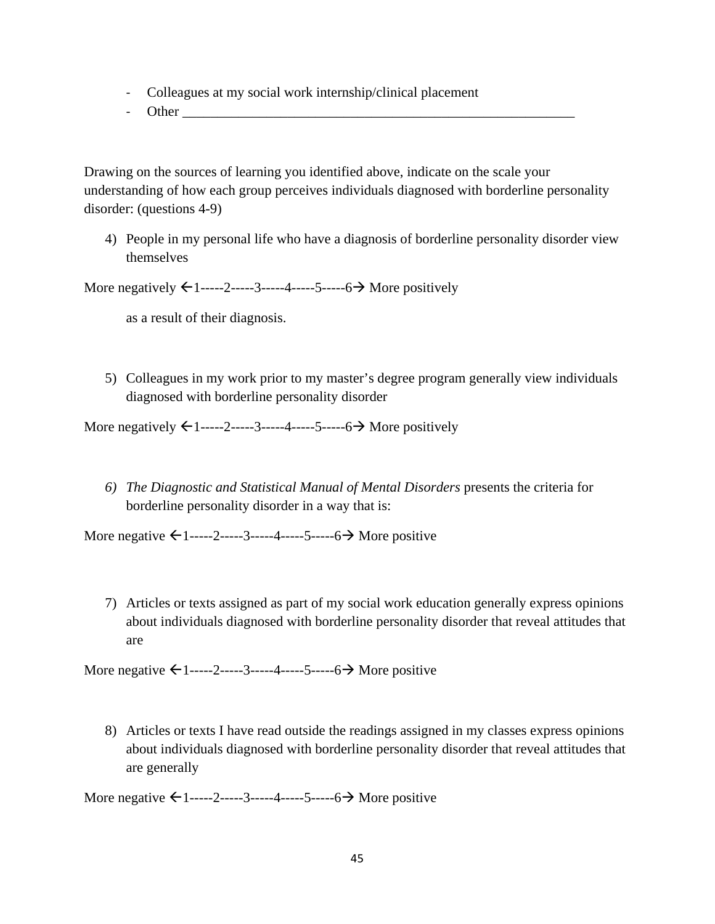- ‐ Colleagues at my social work internship/clinical placement
- Other

Drawing on the sources of learning you identified above, indicate on the scale your understanding of how each group perceives individuals diagnosed with borderline personality disorder: (questions 4-9)

4) People in my personal life who have a diagnosis of borderline personality disorder view themselves

More negatively  $\leftarrow 1$ -----2-----3-----4-----5-----6 $\rightarrow$  More positively

as a result of their diagnosis.

5) Colleagues in my work prior to my master's degree program generally view individuals diagnosed with borderline personality disorder

More negatively  $\leftarrow 1$ -----2-----3-----4-----5-----6  $\rightarrow$  More positively

*6) The Diagnostic and Statistical Manual of Mental Disorders* presents the criteria for borderline personality disorder in a way that is:

More negative  $\leftarrow 1$ -----2-----3-----4-----5-----6  $\rightarrow$  More positive

7) Articles or texts assigned as part of my social work education generally express opinions about individuals diagnosed with borderline personality disorder that reveal attitudes that are

More negative  $\leftarrow 1$ -----2-----3-----4-----5-----6 More positive

8) Articles or texts I have read outside the readings assigned in my classes express opinions about individuals diagnosed with borderline personality disorder that reveal attitudes that are generally

More negative  $\leftarrow 1$ -----2-----3-----4-----5-----6 More positive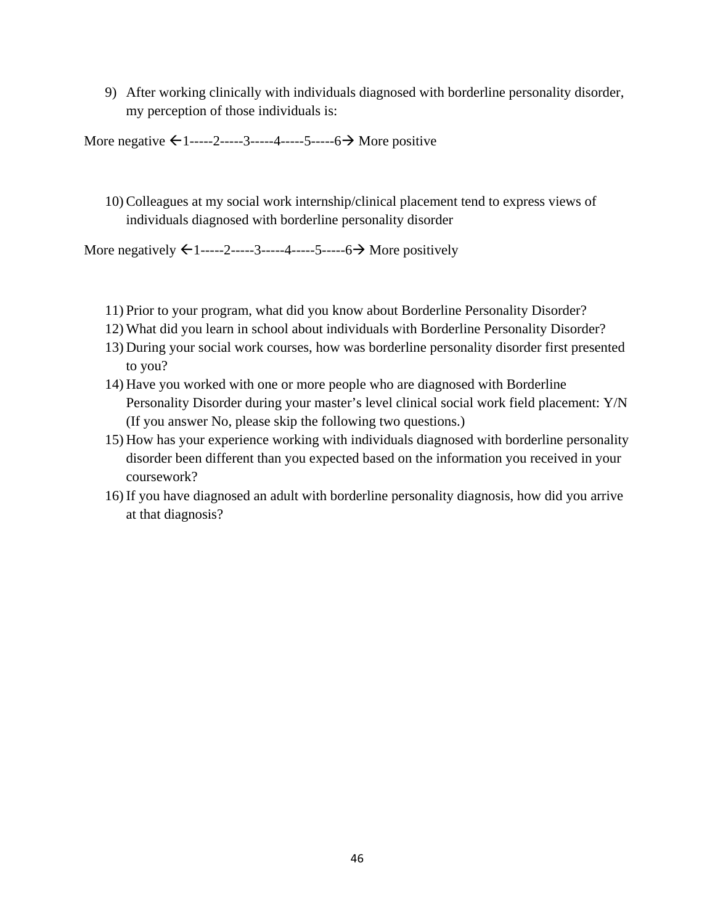9) After working clinically with individuals diagnosed with borderline personality disorder, my perception of those individuals is:

More negative  $\leftarrow 1$ -----2-----3-----4-----5-----6 More positive

10) Colleagues at my social work internship/clinical placement tend to express views of individuals diagnosed with borderline personality disorder

More negatively  $\leftarrow 1$ -----2-----3-----4-----5-----6 $\rightarrow$  More positively

- 11) Prior to your program, what did you know about Borderline Personality Disorder?
- 12) What did you learn in school about individuals with Borderline Personality Disorder?
- 13) During your social work courses, how was borderline personality disorder first presented to you?
- 14) Have you worked with one or more people who are diagnosed with Borderline Personality Disorder during your master's level clinical social work field placement: Y/N (If you answer No, please skip the following two questions.)
- 15) How has your experience working with individuals diagnosed with borderline personality disorder been different than you expected based on the information you received in your coursework?
- 16) If you have diagnosed an adult with borderline personality diagnosis, how did you arrive at that diagnosis?